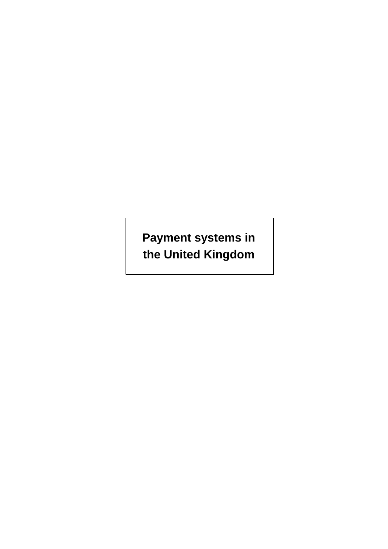**Payment systems in the United Kingdom**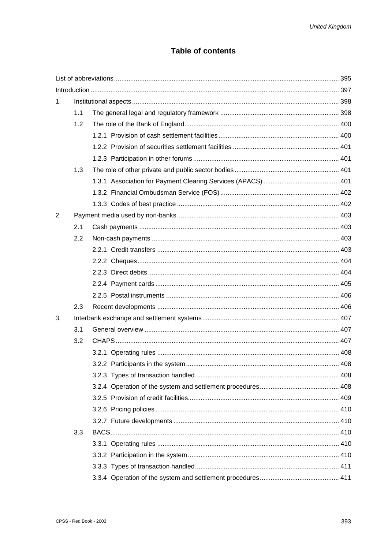# **Table of contents**

| 1. |     |  |  |
|----|-----|--|--|
|    | 1.1 |  |  |
|    | 1.2 |  |  |
|    |     |  |  |
|    |     |  |  |
|    |     |  |  |
|    | 1.3 |  |  |
|    |     |  |  |
|    |     |  |  |
|    |     |  |  |
| 2. |     |  |  |
|    | 2.1 |  |  |
|    | 2.2 |  |  |
|    |     |  |  |
|    |     |  |  |
|    |     |  |  |
|    |     |  |  |
|    |     |  |  |
|    | 2.3 |  |  |
| 3. |     |  |  |
|    | 3.1 |  |  |
|    | 3.2 |  |  |
|    |     |  |  |
|    |     |  |  |
|    |     |  |  |
|    |     |  |  |
|    |     |  |  |
|    |     |  |  |
|    |     |  |  |
|    | 3.3 |  |  |
|    |     |  |  |
|    |     |  |  |
|    |     |  |  |
|    |     |  |  |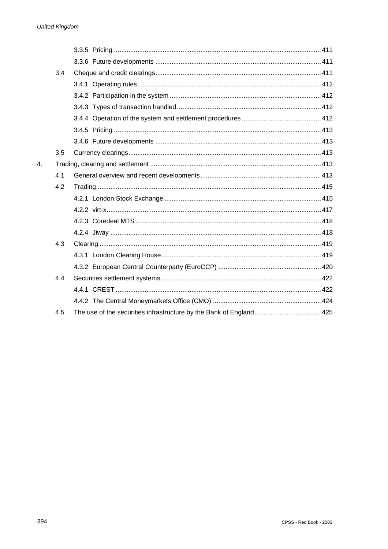|                | 3.4 |  |  |
|----------------|-----|--|--|
|                |     |  |  |
|                |     |  |  |
|                |     |  |  |
|                |     |  |  |
|                |     |  |  |
|                |     |  |  |
|                | 3.5 |  |  |
| $\mathbf{4}$ . |     |  |  |
|                | 4.1 |  |  |
|                | 4.2 |  |  |
|                |     |  |  |
|                |     |  |  |
|                |     |  |  |
|                |     |  |  |
|                | 4.3 |  |  |
|                |     |  |  |
|                |     |  |  |
|                | 4.4 |  |  |
|                |     |  |  |
|                |     |  |  |
|                | 4.5 |  |  |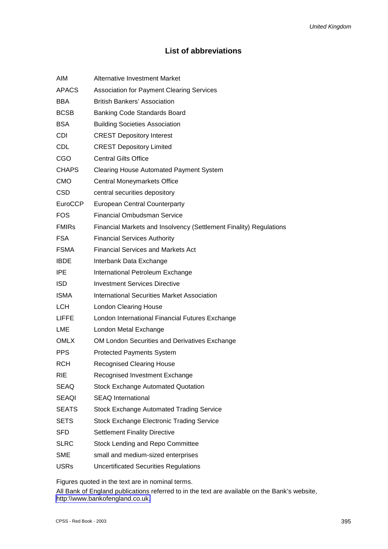# **List of abbreviations**

| <b>AIM</b>     | <b>Alternative Investment Market</b>                               |
|----------------|--------------------------------------------------------------------|
| <b>APACS</b>   | <b>Association for Payment Clearing Services</b>                   |
| <b>BBA</b>     | <b>British Bankers' Association</b>                                |
| <b>BCSB</b>    | <b>Banking Code Standards Board</b>                                |
| <b>BSA</b>     | <b>Building Societies Association</b>                              |
| <b>CDI</b>     | <b>CREST Depository Interest</b>                                   |
| <b>CDL</b>     | <b>CREST Depository Limited</b>                                    |
| CGO            | <b>Central Gilts Office</b>                                        |
| <b>CHAPS</b>   | <b>Clearing House Automated Payment System</b>                     |
| <b>CMO</b>     | Central Moneymarkets Office                                        |
| <b>CSD</b>     | central securities depository                                      |
| <b>EuroCCP</b> | <b>European Central Counterparty</b>                               |
| <b>FOS</b>     | <b>Financial Ombudsman Service</b>                                 |
| <b>FMIRs</b>   | Financial Markets and Insolvency (Settlement Finality) Regulations |
| FSA.           | <b>Financial Services Authority</b>                                |
| <b>FSMA</b>    | <b>Financial Services and Markets Act</b>                          |
| <b>IBDE</b>    | Interbank Data Exchange                                            |
| <b>IPE</b>     | International Petroleum Exchange                                   |
| <b>ISD</b>     | <b>Investment Services Directive</b>                               |
| <b>ISMA</b>    | International Securities Market Association                        |
| <b>LCH</b>     | <b>London Clearing House</b>                                       |
| <b>LIFFE</b>   | London International Financial Futures Exchange                    |
| <b>LME</b>     | London Metal Exchange                                              |
| <b>OMLX</b>    | OM London Securities and Derivatives Exchange                      |
| <b>PPS</b>     | <b>Protected Payments System</b>                                   |
| <b>RCH</b>     | <b>Recognised Clearing House</b>                                   |
| <b>RIE</b>     | Recognised Investment Exchange                                     |
| SEAQ           | <b>Stock Exchange Automated Quotation</b>                          |
| <b>SEAQI</b>   | <b>SEAQ International</b>                                          |
| <b>SEATS</b>   | <b>Stock Exchange Automated Trading Service</b>                    |
| <b>SETS</b>    | <b>Stock Exchange Electronic Trading Service</b>                   |
| <b>SFD</b>     | <b>Settlement Finality Directive</b>                               |
| <b>SLRC</b>    | Stock Lending and Repo Committee                                   |
| <b>SME</b>     | small and medium-sized enterprises                                 |
| <b>USRs</b>    | <b>Uncertificated Securities Regulations</b>                       |
|                |                                                                    |

Figures quoted in the text are in nominal terms.

All Bank of England publications referred to in the text are available on the Bank's website, [http:\\www.bankofengland.co.uk.](http://www.bankofengland.co.uk/)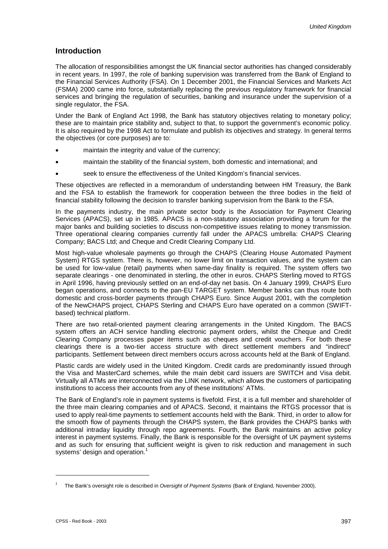# **Introduction**

The allocation of responsibilities amongst the UK financial sector authorities has changed considerably in recent years. In 1997, the role of banking supervision was transferred from the Bank of England to the Financial Services Authority (FSA). On 1 December 2001, the Financial Services and Markets Act (FSMA) 2000 came into force, substantially replacing the previous regulatory framework for financial services and bringing the regulation of securities, banking and insurance under the supervision of a single regulator, the FSA.

Under the Bank of England Act 1998, the Bank has statutory objectives relating to monetary policy; these are to maintain price stability and, subject to that, to support the government's economic policy. It is also required by the 1998 Act to formulate and publish its objectives and strategy. In general terms the objectives (or core purposes) are to:

- maintain the integrity and value of the currency;
- maintain the stability of the financial system, both domestic and international; and
- seek to ensure the effectiveness of the United Kingdom's financial services.

These objectives are reflected in a memorandum of understanding between HM Treasury, the Bank and the FSA to establish the framework for cooperation between the three bodies in the field of financial stability following the decision to transfer banking supervision from the Bank to the FSA.

In the payments industry, the main private sector body is the Association for Payment Clearing Services (APACS), set up in 1985. APACS is a non-statutory association providing a forum for the major banks and building societies to discuss non-competitive issues relating to money transmission. Three operational clearing companies currently fall under the APACS umbrella: CHAPS Clearing Company; BACS Ltd; and Cheque and Credit Clearing Company Ltd.

Most high-value wholesale payments go through the CHAPS (Clearing House Automated Payment System) RTGS system. There is, however, no lower limit on transaction values, and the system can be used for low-value (retail) payments when same-day finality is required. The system offers two separate clearings - one denominated in sterling, the other in euros. CHAPS Sterling moved to RTGS in April 1996, having previously settled on an end-of-day net basis. On 4 January 1999, CHAPS Euro began operations, and connects to the pan-EU TARGET system. Member banks can thus route both domestic and cross-border payments through CHAPS Euro. Since August 2001, with the completion of the NewCHAPS project, CHAPS Sterling and CHAPS Euro have operated on a common (SWIFTbased) technical platform.

There are two retail-oriented payment clearing arrangements in the United Kingdom. The BACS system offers an ACH service handling electronic payment orders, whilst the Cheque and Credit Clearing Company processes paper items such as cheques and credit vouchers. For both these clearings there is a two-tier access structure with direct settlement members and "indirect" participants. Settlement between direct members occurs across accounts held at the Bank of England.

Plastic cards are widely used in the United Kingdom. Credit cards are predominantly issued through the Visa and MasterCard schemes, while the main debit card issuers are SWITCH and Visa debit. Virtually all ATMs are interconnected via the LINK network, which allows the customers of participating institutions to access their accounts from any of these institutions' ATMs.

The Bank of England's role in payment systems is fivefold. First, it is a full member and shareholder of the three main clearing companies and of APACS. Second, it maintains the RTGS processor that is used to apply real-time payments to settlement accounts held with the Bank. Third, in order to allow for the smooth flow of payments through the CHAPS system, the Bank provides the CHAPS banks with additional intraday liquidity through repo agreements. Fourth, the Bank maintains an active policy interest in payment systems. Finally, the Bank is responsible for the oversight of UK payment systems and as such for ensuring that sufficient weight is given to risk reduction and management in such systems' design and operation.<sup>1</sup>

l

<sup>1</sup> The Bank's oversight role is described in *Oversight of Payment Systems* (Bank of England, November 2000).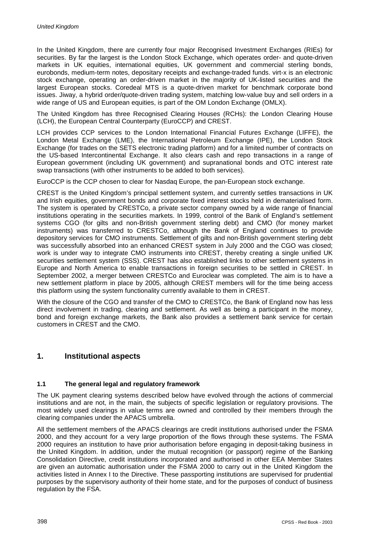In the United Kingdom, there are currently four major Recognised Investment Exchanges (RIEs) for securities. By far the largest is the London Stock Exchange, which operates order- and quote-driven markets in UK equities, international equities, UK government and commercial sterling bonds, eurobonds, medium-term notes, depositary receipts and exchange-traded funds. virt-x is an electronic stock exchange, operating an order-driven market in the majority of UK-listed securities and the largest European stocks. Coredeal MTS is a quote-driven market for benchmark corporate bond issues. Jiway, a hybrid order/quote-driven trading system, matching low-value buy and sell orders in a wide range of US and European equities, is part of the OM London Exchange (OMLX).

The United Kingdom has three Recognised Clearing Houses (RCHs): the London Clearing House (LCH), the European Central Counterparty (EuroCCP) and CREST.

LCH provides CCP services to the London International Financial Futures Exchange (LIFFE), the London Metal Exchange (LME), the International Petroleum Exchange (IPE), the London Stock Exchange (for trades on the SETS electronic trading platform) and for a limited number of contracts on the US-based Intercontinental Exchange. It also clears cash and repo transactions in a range of European government (including UK government) and supranational bonds and OTC interest rate swap transactions (with other instruments to be added to both services).

EuroCCP is the CCP chosen to clear for Nasdaq Europe, the pan-European stock exchange.

CREST is the United Kingdom's principal settlement system, and currently settles transactions in UK and Irish equities, government bonds and corporate fixed interest stocks held in dematerialised form. The system is operated by CRESTCo, a private sector company owned by a wide range of financial institutions operating in the securities markets. In 1999, control of the Bank of England's settlement systems CGO (for gilts and non-British government sterling debt) and CMO (for money market instruments) was transferred to CRESTCo, although the Bank of England continues to provide depository services for CMO instruments. Settlement of gilts and non-British government sterling debt was successfully absorbed into an enhanced CREST system in July 2000 and the CGO was closed; work is under way to integrate CMO instruments into CREST, thereby creating a single unified UK securities settlement system (SSS). CREST has also established links to other settlement systems in Europe and North America to enable transactions in foreign securities to be settled in CREST. In September 2002, a merger between CRESTCo and Euroclear was completed. The aim is to have a new settlement platform in place by 2005, although CREST members will for the time being access this platform using the system functionality currently available to them in CREST.

With the closure of the CGO and transfer of the CMO to CRESTCo, the Bank of England now has less direct involvement in trading, clearing and settlement. As well as being a participant in the money, bond and foreign exchange markets, the Bank also provides a settlement bank service for certain customers in CREST and the CMO.

# **1. Institutional aspects**

# **1.1 The general legal and regulatory framework**

The UK payment clearing systems described below have evolved through the actions of commercial institutions and are not, in the main, the subjects of specific legislation or regulatory provisions. The most widely used clearings in value terms are owned and controlled by their members through the clearing companies under the APACS umbrella.

All the settlement members of the APACS clearings are credit institutions authorised under the FSMA 2000, and they account for a very large proportion of the flows through these systems. The FSMA 2000 requires an institution to have prior authorisation before engaging in deposit-taking business in the United Kingdom. In addition, under the mutual recognition (or passport) regime of the Banking Consolidation Directive, credit institutions incorporated and authorised in other EEA Member States are given an automatic authorisation under the FSMA 2000 to carry out in the United Kingdom the activities listed in Annex I to the Directive. These passporting institutions are supervised for prudential purposes by the supervisory authority of their home state, and for the purposes of conduct of business regulation by the FSA.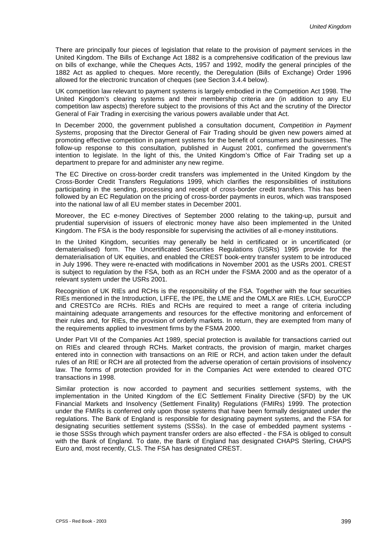There are principally four pieces of legislation that relate to the provision of payment services in the United Kingdom. The Bills of Exchange Act 1882 is a comprehensive codification of the previous law on bills of exchange, while the Cheques Acts, 1957 and 1992, modify the general principles of the 1882 Act as applied to cheques. More recently, the Deregulation (Bills of Exchange) Order 1996 allowed for the electronic truncation of cheques (see Section 3.4.4 below).

UK competition law relevant to payment systems is largely embodied in the Competition Act 1998. The United Kingdom's clearing systems and their membership criteria are (in addition to any EU competition law aspects) therefore subject to the provisions of this Act and the scrutiny of the Director General of Fair Trading in exercising the various powers available under that Act.

In December 2000, the government published a consultation document, *Competition in Payment Systems*, proposing that the Director General of Fair Trading should be given new powers aimed at promoting effective competition in payment systems for the benefit of consumers and businesses. The follow-up response to this consultation, published in August 2001, confirmed the government's intention to legislate. In the light of this, the United Kingdom's Office of Fair Trading set up a department to prepare for and administer any new regime.

The EC Directive on cross-border credit transfers was implemented in the United Kingdom by the Cross-Border Credit Transfers Regulations 1999, which clarifies the responsibilities of institutions participating in the sending, processing and receipt of cross-border credit transfers. This has been followed by an EC Regulation on the pricing of cross-border payments in euros, which was transposed into the national law of all EU member states in December 2001.

Moreover, the EC e-money Directives of September 2000 relating to the taking-up, pursuit and prudential supervision of issuers of electronic money have also been implemented in the United Kingdom. The FSA is the body responsible for supervising the activities of all e-money institutions.

In the United Kingdom, securities may generally be held in certificated or in uncertificated (or dematerialised) form. The Uncertificated Securities Regulations (USRs) 1995 provide for the dematerialisation of UK equities, and enabled the CREST book-entry transfer system to be introduced in July 1996. They were re-enacted with modifications in November 2001 as the USRs 2001. CREST is subject to regulation by the FSA, both as an RCH under the FSMA 2000 and as the operator of a relevant system under the USRs 2001.

Recognition of UK RIEs and RCHs is the responsibility of the FSA. Together with the four securities RIEs mentioned in the Introduction, LIFFE, the IPE, the LME and the OMLX are RIEs. LCH, EuroCCP and CRESTCo are RCHs. RIEs and RCHs are required to meet a range of criteria including maintaining adequate arrangements and resources for the effective monitoring and enforcement of their rules and, for RIEs, the provision of orderly markets. In return, they are exempted from many of the requirements applied to investment firms by the FSMA 2000.

Under Part VII of the Companies Act 1989, special protection is available for transactions carried out on RIEs and cleared through RCHs. Market contracts, the provision of margin, market charges entered into in connection with transactions on an RIE or RCH, and action taken under the default rules of an RIE or RCH are all protected from the adverse operation of certain provisions of insolvency law. The forms of protection provided for in the Companies Act were extended to cleared OTC transactions in 1998.

Similar protection is now accorded to payment and securities settlement systems, with the implementation in the United Kingdom of the EC Settlement Finality Directive (SFD) by the UK Financial Markets and Insolvency (Settlement Finality) Regulations (FMIRs) 1999. The protection under the FMIRs is conferred only upon those systems that have been formally designated under the regulations. The Bank of England is responsible for designating payment systems, and the FSA for designating securities settlement systems (SSSs). In the case of embedded payment systems ie those SSSs through which payment transfer orders are also effected - the FSA is obliged to consult with the Bank of England. To date, the Bank of England has designated CHAPS Sterling, CHAPS Euro and, most recently, CLS. The FSA has designated CREST.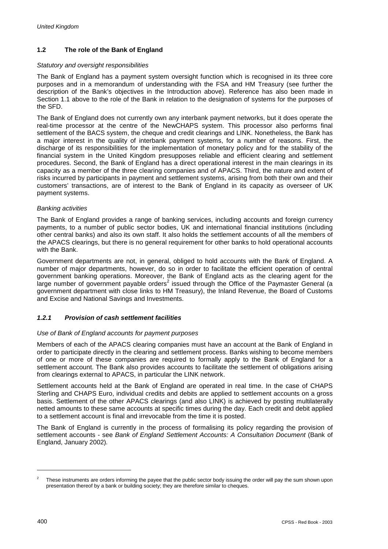# **1.2 The role of the Bank of England**

### *Statutory and oversight responsibilities*

The Bank of England has a payment system oversight function which is recognised in its three core purposes and in a memorandum of understanding with the FSA and HM Treasury (see further the description of the Bank's objectives in the Introduction above). Reference has also been made in Section 1.1 above to the role of the Bank in relation to the designation of systems for the purposes of the SFD.

The Bank of England does not currently own any interbank payment networks, but it does operate the real-time processor at the centre of the NewCHAPS system. This processor also performs final settlement of the BACS system, the cheque and credit clearings and LINK. Nonetheless, the Bank has a major interest in the quality of interbank payment systems, for a number of reasons. First, the discharge of its responsibilities for the implementation of monetary policy and for the stability of the financial system in the United Kingdom presupposes reliable and efficient clearing and settlement procedures. Second, the Bank of England has a direct operational interest in the main clearings in its capacity as a member of the three clearing companies and of APACS. Third, the nature and extent of risks incurred by participants in payment and settlement systems, arising from both their own and their customers' transactions, are of interest to the Bank of England in its capacity as overseer of UK payment systems.

## *Banking activities*

The Bank of England provides a range of banking services, including accounts and foreign currency payments, to a number of public sector bodies, UK and international financial institutions (including other central banks) and also its own staff. It also holds the settlement accounts of all the members of the APACS clearings, but there is no general requirement for other banks to hold operational accounts with the Bank.

Government departments are not, in general, obliged to hold accounts with the Bank of England. A number of major departments, however, do so in order to facilitate the efficient operation of central government banking operations. Moreover, the Bank of England acts as the clearing agent for the large number of government payable orders<sup>2</sup> issued through the Office of the Paymaster General (a government department with close links to HM Treasury), the Inland Revenue, the Board of Customs and Excise and National Savings and Investments.

# *1.2.1 Provision of cash settlement facilities*

# *Use of Bank of England accounts for payment purposes*

Members of each of the APACS clearing companies must have an account at the Bank of England in order to participate directly in the clearing and settlement process. Banks wishing to become members of one or more of these companies are required to formally apply to the Bank of England for a settlement account. The Bank also provides accounts to facilitate the settlement of obligations arising from clearings external to APACS, in particular the LINK network.

Settlement accounts held at the Bank of England are operated in real time. In the case of CHAPS Sterling and CHAPS Euro, individual credits and debits are applied to settlement accounts on a gross basis. Settlement of the other APACS clearings (and also LINK) is achieved by posting multilaterally netted amounts to these same accounts at specific times during the day. Each credit and debit applied to a settlement account is final and irrevocable from the time it is posted.

The Bank of England is currently in the process of formalising its policy regarding the provision of settlement accounts - see *Bank of England Settlement Accounts: A Consultation Document* (Bank of England, January 2002)*.*

l

<sup>2</sup> These instruments are orders informing the payee that the public sector body issuing the order will pay the sum shown upon presentation thereof by a bank or building society; they are therefore similar to cheques.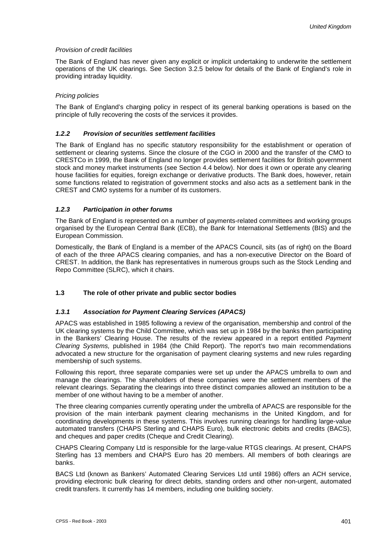### *Provision of credit facilities*

The Bank of England has never given any explicit or implicit undertaking to underwrite the settlement operations of the UK clearings. See Section 3.2.5 below for details of the Bank of England's role in providing intraday liquidity.

## *Pricing policies*

The Bank of England's charging policy in respect of its general banking operations is based on the principle of fully recovering the costs of the services it provides.

## *1.2.2 Provision of securities settlement facilities*

The Bank of England has no specific statutory responsibility for the establishment or operation of settlement or clearing systems. Since the closure of the CGO in 2000 and the transfer of the CMO to CRESTCo in 1999, the Bank of England no longer provides settlement facilities for British government stock and money market instruments (see Section 4.4 below). Nor does it own or operate any clearing house facilities for equities, foreign exchange or derivative products. The Bank does, however, retain some functions related to registration of government stocks and also acts as a settlement bank in the CREST and CMO systems for a number of its customers.

## *1.2.3 Participation in other forums*

The Bank of England is represented on a number of payments-related committees and working groups organised by the European Central Bank (ECB), the Bank for International Settlements (BIS) and the European Commission.

Domestically, the Bank of England is a member of the APACS Council, sits (as of right) on the Board of each of the three APACS clearing companies, and has a non-executive Director on the Board of CREST. In addition, the Bank has representatives in numerous groups such as the Stock Lending and Repo Committee (SLRC), which it chairs.

# **1.3 The role of other private and public sector bodies**

#### *1.3.1 Association for Payment Clearing Services (APACS)*

APACS was established in 1985 following a review of the organisation, membership and control of the UK clearing systems by the Child Committee, which was set up in 1984 by the banks then participating in the Bankers' Clearing House. The results of the review appeared in a report entitled *Payment Clearing Systems,* published in 1984 (the Child Report). The report's two main recommendations advocated a new structure for the organisation of payment clearing systems and new rules regarding membership of such systems.

Following this report, three separate companies were set up under the APACS umbrella to own and manage the clearings. The shareholders of these companies were the settlement members of the relevant clearings. Separating the clearings into three distinct companies allowed an institution to be a member of one without having to be a member of another.

The three clearing companies currently operating under the umbrella of APACS are responsible for the provision of the main interbank payment clearing mechanisms in the United Kingdom, and for coordinating developments in these systems. This involves running clearings for handling large-value automated transfers (CHAPS Sterling and CHAPS Euro), bulk electronic debits and credits (BACS), and cheques and paper credits (Cheque and Credit Clearing).

CHAPS Clearing Company Ltd is responsible for the large-value RTGS clearings. At present, CHAPS Sterling has 13 members and CHAPS Euro has 20 members. All members of both clearings are banks.

BACS Ltd (known as Bankers' Automated Clearing Services Ltd until 1986) offers an ACH service, providing electronic bulk clearing for direct debits, standing orders and other non-urgent, automated credit transfers. It currently has 14 members, including one building society.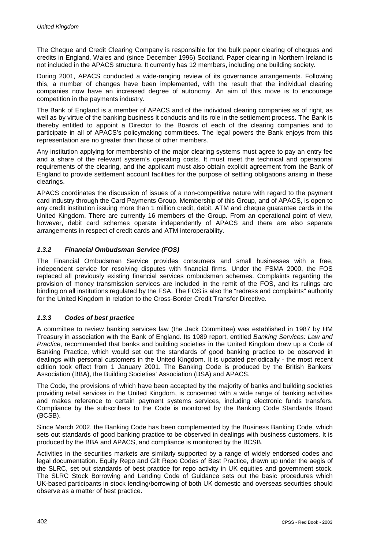The Cheque and Credit Clearing Company is responsible for the bulk paper clearing of cheques and credits in England, Wales and (since December 1996) Scotland. Paper clearing in Northern Ireland is not included in the APACS structure. It currently has 12 members, including one building society.

During 2001, APACS conducted a wide-ranging review of its governance arrangements. Following this, a number of changes have been implemented, with the result that the individual clearing companies now have an increased degree of autonomy. An aim of this move is to encourage competition in the payments industry.

The Bank of England is a member of APACS and of the individual clearing companies as of right, as well as by virtue of the banking business it conducts and its role in the settlement process. The Bank is thereby entitled to appoint a Director to the Boards of each of the clearing companies and to participate in all of APACS's policymaking committees. The legal powers the Bank enjoys from this representation are no greater than those of other members.

Any institution applying for membership of the major clearing systems must agree to pay an entry fee and a share of the relevant system's operating costs. It must meet the technical and operational requirements of the clearing, and the applicant must also obtain explicit agreement from the Bank of England to provide settlement account facilities for the purpose of settling obligations arising in these clearings.

APACS coordinates the discussion of issues of a non-competitive nature with regard to the payment card industry through the Card Payments Group. Membership of this Group, and of APACS, is open to any credit institution issuing more than 1 million credit, debit, ATM and cheque guarantee cards in the United Kingdom. There are currently 16 members of the Group. From an operational point of view, however, debit card schemes operate independently of APACS and there are also separate arrangements in respect of credit cards and ATM interoperability.

# *1.3.2 Financial Ombudsman Service (FOS)*

The Financial Ombudsman Service provides consumers and small businesses with a free, independent service for resolving disputes with financial firms. Under the FSMA 2000, the FOS replaced all previously existing financial services ombudsman schemes. Complaints regarding the provision of money transmission services are included in the remit of the FOS, and its rulings are binding on all institutions regulated by the FSA. The FOS is also the "redress and complaints" authority for the United Kingdom in relation to the Cross-Border Credit Transfer Directive.

# *1.3.3 Codes of best practice*

A committee to review banking services law (the Jack Committee) was established in 1987 by HM Treasury in association with the Bank of England. Its 1989 report, entitled *Banking Services: Law and Practice*, recommended that banks and building societies in the United Kingdom draw up a Code of Banking Practice, which would set out the standards of good banking practice to be observed in dealings with personal customers in the United Kingdom. It is updated periodically - the most recent edition took effect from 1 January 2001. The Banking Code is produced by the British Bankers' Association (BBA), the Building Societies' Association (BSA) and APACS.

The Code, the provisions of which have been accepted by the majority of banks and building societies providing retail services in the United Kingdom, is concerned with a wide range of banking activities and makes reference to certain payment systems services, including electronic funds transfers. Compliance by the subscribers to the Code is monitored by the Banking Code Standards Board (BCSB).

Since March 2002, the Banking Code has been complemented by the Business Banking Code, which sets out standards of good banking practice to be observed in dealings with business customers. It is produced by the BBA and APACS, and compliance is monitored by the BCSB.

Activities in the securities markets are similarly supported by a range of widely endorsed codes and legal documentation. Equity Repo and Gilt Repo Codes of Best Practice, drawn up under the aegis of the SLRC, set out standards of best practice for repo activity in UK equities and government stock. The SLRC Stock Borrowing and Lending Code of Guidance sets out the basic procedures which UK-based participants in stock lending/borrowing of both UK domestic and overseas securities should observe as a matter of best practice.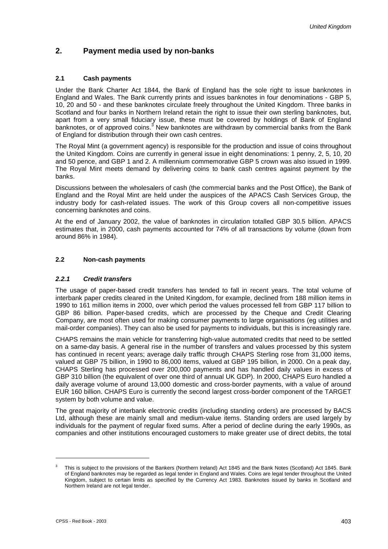# **2. Payment media used by non-banks**

# **2.1 Cash payments**

Under the Bank Charter Act 1844, the Bank of England has the sole right to issue banknotes in England and Wales. The Bank currently prints and issues banknotes in four denominations - GBP 5, 10, 20 and 50 - and these banknotes circulate freely throughout the United Kingdom. Three banks in Scotland and four banks in Northern Ireland retain the right to issue their own sterling banknotes, but, apart from a very small fiduciary issue, these must be covered by holdings of Bank of England banknotes, or of approved coins.<sup>3</sup> New banknotes are withdrawn by commercial banks from the Bank of England for distribution through their own cash centres.

The Royal Mint (a government agency) is responsible for the production and issue of coins throughout the United Kingdom. Coins are currently in general issue in eight denominations: 1 penny, 2, 5, 10, 20 and 50 pence, and GBP 1 and 2. A millennium commemorative GBP 5 crown was also issued in 1999. The Royal Mint meets demand by delivering coins to bank cash centres against payment by the banks.

Discussions between the wholesalers of cash (the commercial banks and the Post Office), the Bank of England and the Royal Mint are held under the auspices of the APACS Cash Services Group, the industry body for cash-related issues. The work of this Group covers all non-competitive issues concerning banknotes and coins.

At the end of January 2002, the value of banknotes in circulation totalled GBP 30.5 billion. APACS estimates that, in 2000, cash payments accounted for 74% of all transactions by volume (down from around 86% in 1984).

# **2.2 Non-cash payments**

# *2.2.1 Credit transfers*

The usage of paper-based credit transfers has tended to fall in recent years. The total volume of interbank paper credits cleared in the United Kingdom, for example, declined from 188 million items in 1990 to 161 million items in 2000, over which period the values processed fell from GBP 117 billion to GBP 86 billion. Paper-based credits, which are processed by the Cheque and Credit Clearing Company, are most often used for making consumer payments to large organisations (eg utilities and mail-order companies). They can also be used for payments to individuals, but this is increasingly rare.

CHAPS remains the main vehicle for transferring high-value automated credits that need to be settled on a same-day basis. A general rise in the number of transfers and values processed by this system has continued in recent years; average daily traffic through CHAPS Sterling rose from 31,000 items, valued at GBP 75 billion, in 1990 to 86,000 items, valued at GBP 195 billion, in 2000. On a peak day, CHAPS Sterling has processed over 200,000 payments and has handled daily values in excess of GBP 310 billion (the equivalent of over one third of annual UK GDP). In 2000, CHAPS Euro handled a daily average volume of around 13,000 domestic and cross-border payments, with a value of around EUR 160 billion. CHAPS Euro is currently the second largest cross-border component of the TARGET system by both volume and value.

The great majority of interbank electronic credits (including standing orders) are processed by BACS Ltd, although these are mainly small and medium-value items. Standing orders are used largely by individuals for the payment of regular fixed sums. After a period of decline during the early 1990s, as companies and other institutions encouraged customers to make greater use of direct debits, the total

l

This is subject to the provisions of the Bankers (Northern Ireland) Act 1845 and the Bank Notes (Scotland) Act 1845. Bank of England banknotes may be regarded as legal tender in England and Wales. Coins are legal tender throughout the United Kingdom, subject to certain limits as specified by the Currency Act 1983. Banknotes issued by banks in Scotland and Northern Ireland are not legal tender.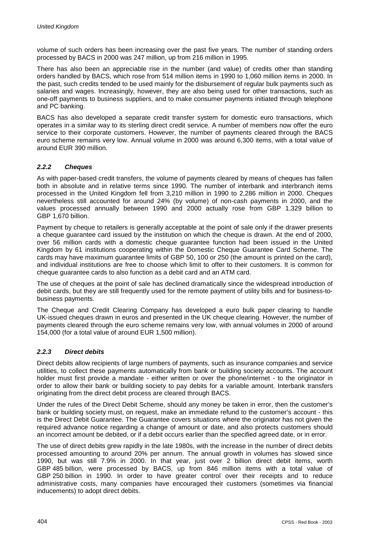volume of such orders has been increasing over the past five years. The number of standing orders processed by BACS in 2000 was 247 million, up from 216 million in 1995.

There has also been an appreciable rise in the number (and value) of credits other than standing orders handled by BACS, which rose from 514 million items in 1990 to 1,060 million items in 2000. In the past, such credits tended to be used mainly for the disbursement of regular bulk payments such as salaries and wages. Increasingly, however, they are also being used for other transactions, such as one-off payments to business suppliers, and to make consumer payments initiated through telephone and PC banking.

BACS has also developed a separate credit transfer system for domestic euro transactions, which operates in a similar way to its sterling direct credit service. A number of members now offer the euro service to their corporate customers. However, the number of payments cleared through the BACS euro scheme remains very low. Annual volume in 2000 was around 6,300 items, with a total value of around EUR 390 million.

# *2.2.2 Cheques*

As with paper-based credit transfers, the volume of payments cleared by means of cheques has fallen both in absolute and in relative terms since 1990. The number of interbank and interbranch items processed in the United Kingdom fell from 3,210 million in 1990 to 2,286 million in 2000. Cheques nevertheless still accounted for around 24% (by volume) of non-cash payments in 2000, and the values processed annually between 1990 and 2000 actually rose from GBP 1,329 billion to GBP 1,670 billion.

Payment by cheque to retailers is generally acceptable at the point of sale only if the drawer presents a cheque guarantee card issued by the institution on which the cheque is drawn. At the end of 2000, over 56 million cards with a domestic cheque guarantee function had been issued in the United Kingdom by 61 institutions cooperating within the Domestic Cheque Guarantee Card Scheme. The cards may have maximum guarantee limits of GBP 50, 100 or 250 (the amount is printed on the card), and individual institutions are free to choose which limit to offer to their customers. It is common for cheque guarantee cards to also function as a debit card and an ATM card.

The use of cheques at the point of sale has declined dramatically since the widespread introduction of debit cards, but they are still frequently used for the remote payment of utility bills and for business-tobusiness payments.

The Cheque and Credit Clearing Company has developed a euro bulk paper clearing to handle UK-issued cheques drawn in euros and presented in the UK cheque clearing. However, the number of payments cleared through the euro scheme remains very low, with annual volumes in 2000 of around 154,000 (for a total value of around EUR 1,500 million).

# *2.2.3 Direct debits*

Direct debits allow recipients of large numbers of payments, such as insurance companies and service utilities, to collect these payments automatically from bank or building society accounts. The account holder must first provide a mandate - either written or over the phone/internet - to the originator in order to allow their bank or building society to pay debits for a variable amount. Interbank transfers originating from the direct debit process are cleared through BACS.

Under the rules of the Direct Debit Scheme, should any money be taken in error, then the customer's bank or building society must, on request, make an immediate refund to the customer's account - this is the Direct Debit Guarantee. The Guarantee covers situations where the originator has not given the required advance notice regarding a change of amount or date, and also protects customers should an incorrect amount be debited, or if a debit occurs earlier than the specified agreed date, or in error.

The use of direct debits grew rapidly in the late 1980s, with the increase in the number of direct debits processed amounting to around 20% per annum. The annual growth in volumes has slowed since 1990, but was still 7.9% in 2000. In that year, just over 2 billion direct debit items, worth GBP 485 billion, were processed by BACS, up from 846 million items with a total value of GBP 250 billion in 1990. In order to have greater control over their receipts and to reduce administrative costs, many companies have encouraged their customers (sometimes via financial inducements) to adopt direct debits.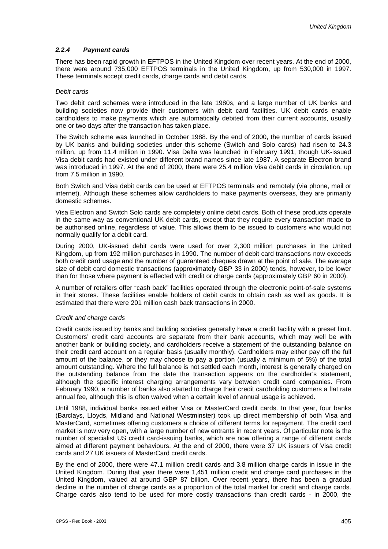### *2.2.4 Payment cards*

There has been rapid growth in EFTPOS in the United Kingdom over recent years. At the end of 2000, there were around 735,000 EFTPOS terminals in the United Kingdom, up from 530,000 in 1997. These terminals accept credit cards, charge cards and debit cards.

#### *Debit cards*

Two debit card schemes were introduced in the late 1980s, and a large number of UK banks and building societies now provide their customers with debit card facilities. UK debit cards enable cardholders to make payments which are automatically debited from their current accounts, usually one or two days after the transaction has taken place.

The Switch scheme was launched in October 1988. By the end of 2000, the number of cards issued by UK banks and building societies under this scheme (Switch and Solo cards) had risen to 24.3 million, up from 11.4 million in 1990. Visa Delta was launched in February 1991, though UK-issued Visa debit cards had existed under different brand names since late 1987. A separate Electron brand was introduced in 1997. At the end of 2000, there were 25.4 million Visa debit cards in circulation, up from 7.5 million in 1990.

Both Switch and Visa debit cards can be used at EFTPOS terminals and remotely (via phone, mail or internet). Although these schemes allow cardholders to make payments overseas, they are primarily domestic schemes.

Visa Electron and Switch Solo cards are completely online debit cards. Both of these products operate in the same way as conventional UK debit cards, except that they require every transaction made to be authorised online, regardless of value. This allows them to be issued to customers who would not normally qualify for a debit card.

During 2000, UK-issued debit cards were used for over 2,300 million purchases in the United Kingdom, up from 192 million purchases in 1990. The number of debit card transactions now exceeds both credit card usage and the number of guaranteed cheques drawn at the point of sale. The average size of debit card domestic transactions (approximately GBP 33 in 2000) tends, however, to be lower than for those where payment is effected with credit or charge cards (approximately GBP 60 in 2000).

A number of retailers offer "cash back" facilities operated through the electronic point-of-sale systems in their stores. These facilities enable holders of debit cards to obtain cash as well as goods. It is estimated that there were 201 million cash back transactions in 2000.

#### *Credit and charge cards*

Credit cards issued by banks and building societies generally have a credit facility with a preset limit. Customers' credit card accounts are separate from their bank accounts, which may well be with another bank or building society, and cardholders receive a statement of the outstanding balance on their credit card account on a regular basis (usually monthly). Cardholders may either pay off the full amount of the balance, or they may choose to pay a portion (usually a minimum of 5%) of the total amount outstanding. Where the full balance is not settled each month, interest is generally charged on the outstanding balance from the date the transaction appears on the cardholder's statement, although the specific interest charging arrangements vary between credit card companies. From February 1990, a number of banks also started to charge their credit cardholding customers a flat rate annual fee, although this is often waived when a certain level of annual usage is achieved.

Until 1988, individual banks issued either Visa or MasterCard credit cards. In that year, four banks (Barclays, Lloyds, Midland and National Westminster) took up direct membership of both Visa and MasterCard, sometimes offering customers a choice of different terms for repayment. The credit card market is now very open, with a large number of new entrants in recent years. Of particular note is the number of specialist US credit card-issuing banks, which are now offering a range of different cards aimed at different payment behaviours. At the end of 2000, there were 37 UK issuers of Visa credit cards and 27 UK issuers of MasterCard credit cards.

By the end of 2000, there were 47.1 million credit cards and 3.8 million charge cards in issue in the United Kingdom. During that year there were 1,451 million credit and charge card purchases in the United Kingdom, valued at around GBP 87 billion. Over recent years, there has been a gradual decline in the number of charge cards as a proportion of the total market for credit and charge cards. Charge cards also tend to be used for more costly transactions than credit cards - in 2000, the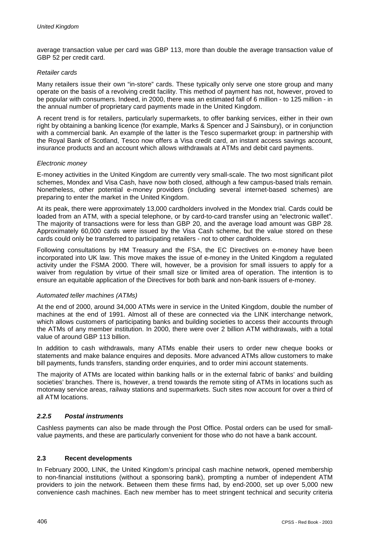average transaction value per card was GBP 113, more than double the average transaction value of GBP 52 per credit card.

### *Retailer cards*

Many retailers issue their own "in-store" cards. These typically only serve one store group and many operate on the basis of a revolving credit facility. This method of payment has not, however, proved to be popular with consumers. Indeed, in 2000, there was an estimated fall of 6 million - to 125 million - in the annual number of proprietary card payments made in the United Kingdom.

A recent trend is for retailers, particularly supermarkets, to offer banking services, either in their own right by obtaining a banking licence (for example, Marks & Spencer and J Sainsbury), or in conjunction with a commercial bank. An example of the latter is the Tesco supermarket group: in partnership with the Royal Bank of Scotland, Tesco now offers a Visa credit card, an instant access savings account, insurance products and an account which allows withdrawals at ATMs and debit card payments.

#### *Electronic money*

E-money activities in the United Kingdom are currently very small-scale. The two most significant pilot schemes, Mondex and Visa Cash, have now both closed, although a few campus-based trials remain. Nonetheless, other potential e-money providers (including several internet-based schemes) are preparing to enter the market in the United Kingdom.

At its peak, there were approximately 13,000 cardholders involved in the Mondex trial. Cards could be loaded from an ATM, with a special telephone, or by card-to-card transfer using an "electronic wallet". The majority of transactions were for less than GBP 20, and the average load amount was GBP 28. Approximately 60,000 cards were issued by the Visa Cash scheme, but the value stored on these cards could only be transferred to participating retailers - not to other cardholders.

Following consultations by HM Treasury and the FSA, the EC Directives on e-money have been incorporated into UK law. This move makes the issue of e-money in the United Kingdom a regulated activity under the FSMA 2000. There will, however, be a provision for small issuers to apply for a waiver from regulation by virtue of their small size or limited area of operation. The intention is to ensure an equitable application of the Directives for both bank and non-bank issuers of e-money.

# *Automated teller machines (ATMs)*

At the end of 2000, around 34,000 ATMs were in service in the United Kingdom, double the number of machines at the end of 1991. Almost all of these are connected via the LINK interchange network, which allows customers of participating banks and building societies to access their accounts through the ATMs of any member institution. In 2000, there were over 2 billion ATM withdrawals, with a total value of around GBP 113 billion.

In addition to cash withdrawals, many ATMs enable their users to order new cheque books or statements and make balance enquires and deposits. More advanced ATMs allow customers to make bill payments, funds transfers, standing order enquiries, and to order mini account statements.

The majority of ATMs are located within banking halls or in the external fabric of banks' and building societies' branches. There is, however, a trend towards the remote siting of ATMs in locations such as motorway service areas, railway stations and supermarkets. Such sites now account for over a third of all ATM locations.

# *2.2.5 Postal instruments*

Cashless payments can also be made through the Post Office. Postal orders can be used for smallvalue payments, and these are particularly convenient for those who do not have a bank account.

#### **2.3 Recent developments**

In February 2000, LINK, the United Kingdom's principal cash machine network, opened membership to non-financial institutions (without a sponsoring bank), prompting a number of independent ATM providers to join the network. Between them these firms had, by end-2000, set up over 5,000 new convenience cash machines. Each new member has to meet stringent technical and security criteria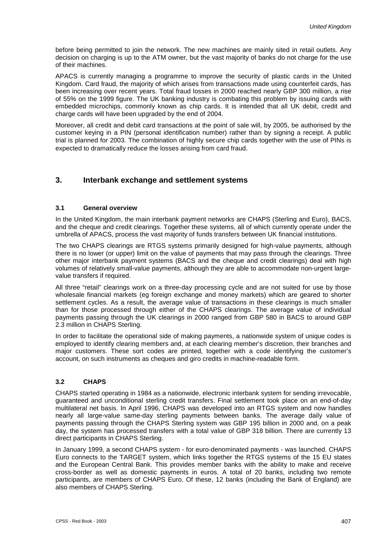before being permitted to join the network. The new machines are mainly sited in retail outlets. Any decision on charging is up to the ATM owner, but the vast majority of banks do not charge for the use of their machines.

APACS is currently managing a programme to improve the security of plastic cards in the United Kingdom. Card fraud, the majority of which arises from transactions made using counterfeit cards, has been increasing over recent years. Total fraud losses in 2000 reached nearly GBP 300 million, a rise of 55% on the 1999 figure. The UK banking industry is combating this problem by issuing cards with embedded microchips, commonly known as chip cards. It is intended that all UK debit, credit and charge cards will have been upgraded by the end of 2004.

Moreover, all credit and debit card transactions at the point of sale will, by 2005, be authorised by the customer keying in a PIN (personal identification number) rather than by signing a receipt. A public trial is planned for 2003. The combination of highly secure chip cards together with the use of PINs is expected to dramatically reduce the losses arising from card fraud.

# **3. Interbank exchange and settlement systems**

## **3.1 General overview**

In the United Kingdom, the main interbank payment networks are CHAPS (Sterling and Euro), BACS, and the cheque and credit clearings. Together these systems, all of which currently operate under the umbrella of APACS, process the vast majority of funds transfers between UK financial institutions.

The two CHAPS clearings are RTGS systems primarily designed for high-value payments, although there is no lower (or upper) limit on the value of payments that may pass through the clearings. Three other major interbank payment systems (BACS and the cheque and credit clearings) deal with high volumes of relatively small-value payments, although they are able to accommodate non-urgent largevalue transfers if required.

All three "retail" clearings work on a three-day processing cycle and are not suited for use by those wholesale financial markets (eg foreign exchange and money markets) which are geared to shorter settlement cycles. As a result, the average value of transactions in these clearings is much smaller than for those processed through either of the CHAPS clearings. The average value of individual payments passing through the UK clearings in 2000 ranged from GBP 580 in BACS to around GBP 2.3 million in CHAPS Sterling.

In order to facilitate the operational side of making payments, a nationwide system of unique codes is employed to identify clearing members and, at each clearing member's discretion, their branches and major customers. These sort codes are printed, together with a code identifying the customer's account, on such instruments as cheques and giro credits in machine-readable form.

# **3.2 CHAPS**

CHAPS started operating in 1984 as a nationwide, electronic interbank system for sending irrevocable, guaranteed and unconditional sterling credit transfers. Final settlement took place on an end-of-day multilateral net basis. In April 1996, CHAPS was developed into an RTGS system and now handles nearly all large-value same-day sterling payments between banks. The average daily value of payments passing through the CHAPS Sterling system was GBP 195 billion in 2000 and, on a peak day, the system has processed transfers with a total value of GBP 318 billion. There are currently 13 direct participants in CHAPS Sterling.

In January 1999, a second CHAPS system - for euro-denominated payments - was launched. CHAPS Euro connects to the TARGET system, which links together the RTGS systems of the 15 EU states and the European Central Bank. This provides member banks with the ability to make and receive cross-border as well as domestic payments in euros. A total of 20 banks, including two remote participants, are members of CHAPS Euro. Of these, 12 banks (including the Bank of England) are also members of CHAPS Sterling.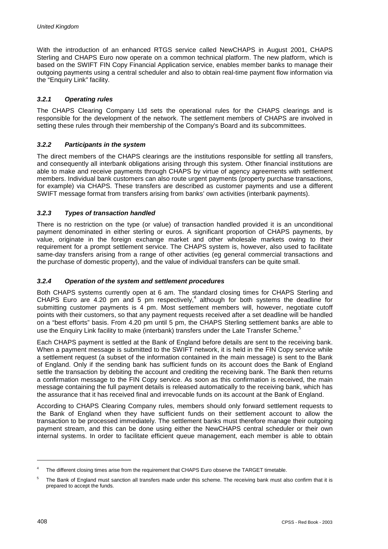With the introduction of an enhanced RTGS service called NewCHAPS in August 2001, CHAPS Sterling and CHAPS Euro now operate on a common technical platform. The new platform, which is based on the SWIFT FIN Copy Financial Application service, enables member banks to manage their outgoing payments using a central scheduler and also to obtain real-time payment flow information via the "Enquiry Link" facility.

# *3.2.1 Operating rules*

The CHAPS Clearing Company Ltd sets the operational rules for the CHAPS clearings and is responsible for the development of the network. The settlement members of CHAPS are involved in setting these rules through their membership of the Company's Board and its subcommittees.

# *3.2.2 Participants in the system*

The direct members of the CHAPS clearings are the institutions responsible for settling all transfers, and consequently all interbank obligations arising through this system. Other financial institutions are able to make and receive payments through CHAPS by virtue of agency agreements with settlement members. Individual bank customers can also route urgent payments (property purchase transactions, for example) via CHAPS. These transfers are described as customer payments and use a different SWIFT message format from transfers arising from banks' own activities (interbank payments).

# *3.2.3 Types of transaction handled*

There is no restriction on the type (or value) of transaction handled provided it is an unconditional payment denominated in either sterling or euros. A significant proportion of CHAPS payments, by value, originate in the foreign exchange market and other wholesale markets owing to their requirement for a prompt settlement service. The CHAPS system is, however, also used to facilitate same-day transfers arising from a range of other activities (eg general commercial transactions and the purchase of domestic property), and the value of individual transfers can be quite small.

# *3.2.4 Operation of the system and settlement procedures*

Both CHAPS systems currently open at 6 am. The standard closing times for CHAPS Sterling and CHAPS Euro are 4.20 pm and 5 pm respectively,<sup>4</sup> although for both systems the deadline for submitting customer payments is 4 pm. Most settlement members will, however, negotiate cutoff points with their customers, so that any payment requests received after a set deadline will be handled on a "best efforts" basis. From 4.20 pm until 5 pm, the CHAPS Sterling settlement banks are able to use the Enquiry Link facility to make (interbank) transfers under the Late Transfer Scheme.<sup>5</sup>

Each CHAPS payment is settled at the Bank of England before details are sent to the receiving bank. When a payment message is submitted to the SWIFT network, it is held in the FIN Copy service while a settlement request (a subset of the information contained in the main message) is sent to the Bank of England. Only if the sending bank has sufficient funds on its account does the Bank of England settle the transaction by debiting the account and crediting the receiving bank. The Bank then returns a confirmation message to the FIN Copy service. As soon as this confirmation is received, the main message containing the full payment details is released automatically to the receiving bank, which has the assurance that it has received final and irrevocable funds on its account at the Bank of England.

According to CHAPS Clearing Company rules, members should only forward settlement requests to the Bank of England when they have sufficient funds on their settlement account to allow the transaction to be processed immediately. The settlement banks must therefore manage their outgoing payment stream, and this can be done using either the NewCHAPS central scheduler or their own internal systems. In order to facilitate efficient queue management, each member is able to obtain

l

The different closing times arise from the requirement that CHAPS Euro observe the TARGET timetable.

<sup>5</sup> The Bank of England must sanction all transfers made under this scheme. The receiving bank must also confirm that it is prepared to accept the funds.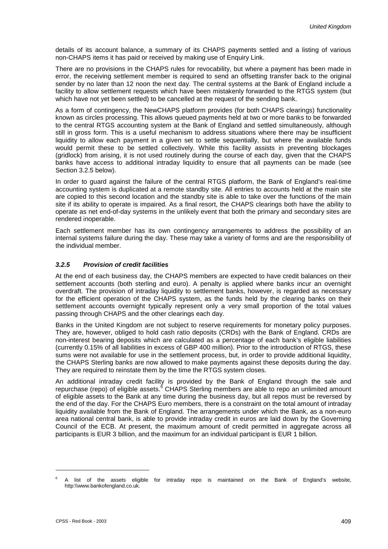details of its account balance, a summary of its CHAPS payments settled and a listing of various non-CHAPS items it has paid or received by making use of Enquiry Link.

There are no provisions in the CHAPS rules for revocability, but where a payment has been made in error, the receiving settlement member is required to send an offsetting transfer back to the original sender by no later than 12 noon the next day. The central systems at the Bank of England include a facility to allow settlement requests which have been mistakenly forwarded to the RTGS system (but which have not yet been settled) to be cancelled at the request of the sending bank.

As a form of contingency, the NewCHAPS platform provides (for both CHAPS clearings) functionality known as circles processing. This allows queued payments held at two or more banks to be forwarded to the central RTGS accounting system at the Bank of England and settled simultaneously, although still in gross form. This is a useful mechanism to address situations where there may be insufficient liquidity to allow each payment in a given set to settle sequentially, but where the available funds would permit these to be settled collectively. While this facility assists in preventing blockages (gridlock) from arising, it is not used routinely during the course of each day, given that the CHAPS banks have access to additional intraday liquidity to ensure that all payments can be made (see Section 3.2.5 below).

In order to guard against the failure of the central RTGS platform, the Bank of England's real-time accounting system is duplicated at a remote standby site. All entries to accounts held at the main site are copied to this second location and the standby site is able to take over the functions of the main site if its ability to operate is impaired. As a final resort, the CHAPS clearings both have the ability to operate as net end-of-day systems in the unlikely event that both the primary and secondary sites are rendered inoperable.

Each settlement member has its own contingency arrangements to address the possibility of an internal systems failure during the day. These may take a variety of forms and are the responsibility of the individual member.

# *3.2.5 Provision of credit facilities*

At the end of each business day, the CHAPS members are expected to have credit balances on their settlement accounts (both sterling and euro). A penalty is applied where banks incur an overnight overdraft. The provision of intraday liquidity to settlement banks, however, is regarded as necessary for the efficient operation of the CHAPS system, as the funds held by the clearing banks on their settlement accounts overnight typically represent only a very small proportion of the total values passing through CHAPS and the other clearings each day.

Banks in the United Kingdom are not subject to reserve requirements for monetary policy purposes. They are, however, obliged to hold cash ratio deposits (CRDs) with the Bank of England. CRDs are non-interest bearing deposits which are calculated as a percentage of each bank's eligible liabilities (currently 0.15% of all liabilities in excess of GBP 400 million). Prior to the introduction of RTGS, these sums were not available for use in the settlement process, but, in order to provide additional liquidity, the CHAPS Sterling banks are now allowed to make payments against these deposits during the day. They are required to reinstate them by the time the RTGS system closes.

An additional intraday credit facility is provided by the Bank of England through the sale and repurchase (repo) of eligible assets.<sup>6</sup> CHAPS Sterling members are able to repo an unlimited amount of eligible assets to the Bank at any time during the business day, but all repos must be reversed by the end of the day. For the CHAPS Euro members, there is a constraint on the total amount of intraday liquidity available from the Bank of England. The arrangements under which the Bank, as a non-euro area national central bank, is able to provide intraday credit in euros are laid down by the Governing Council of the ECB. At present, the maximum amount of credit permitted in aggregate across all participants is EUR 3 billion, and the maximum for an individual participant is EUR 1 billion.

l

<sup>6</sup> A list of the assets eligible for intraday repo is maintained on the Bank of England's website, http:\\www.bankofengland.co.uk.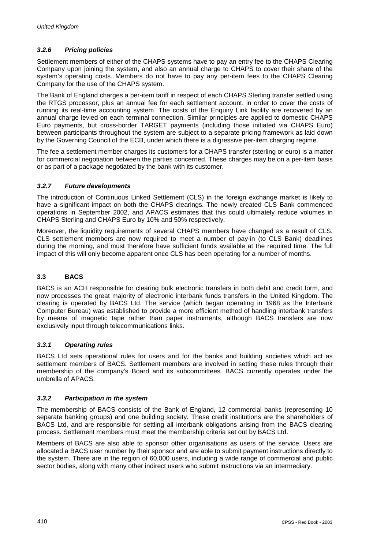# *3.2.6 Pricing policies*

Settlement members of either of the CHAPS systems have to pay an entry fee to the CHAPS Clearing Company upon joining the system, and also an annual charge to CHAPS to cover their share of the system's operating costs. Members do not have to pay any per-item fees to the CHAPS Clearing Company for the use of the CHAPS system.

The Bank of England charges a per-item tariff in respect of each CHAPS Sterling transfer settled using the RTGS processor, plus an annual fee for each settlement account, in order to cover the costs of running its real-time accounting system. The costs of the Enquiry Link facility are recovered by an annual charge levied on each terminal connection. Similar principles are applied to domestic CHAPS Euro payments, but cross-border TARGET payments (including those initiated via CHAPS Euro) between participants throughout the system are subject to a separate pricing framework as laid down by the Governing Council of the ECB, under which there is a digressive per-item charging regime.

The fee a settlement member charges its customers for a CHAPS transfer (sterling or euro) is a matter for commercial negotiation between the parties concerned. These charges may be on a per-item basis or as part of a package negotiated by the bank with its customer.

# *3.2.7 Future developments*

The introduction of Continuous Linked Settlement (CLS) in the foreign exchange market is likely to have a significant impact on both the CHAPS clearings. The newly created CLS Bank commenced operations in September 2002, and APACS estimates that this could ultimately reduce volumes in CHAPS Sterling and CHAPS Euro by 10% and 50% respectively.

Moreover, the liquidity requirements of several CHAPS members have changed as a result of CLS. CLS settlement members are now required to meet a number of pay-in (to CLS Bank) deadlines during the morning, and must therefore have sufficient funds available at the required time. The full impact of this will only become apparent once CLS has been operating for a number of months.

# **3.3 BACS**

BACS is an ACH responsible for clearing bulk electronic transfers in both debit and credit form, and now processes the great majority of electronic interbank funds transfers in the United Kingdom. The clearing is operated by BACS Ltd. The service (which began operating in 1968 as the Interbank Computer Bureau) was established to provide a more efficient method of handling interbank transfers by means of magnetic tape rather than paper instruments, although BACS transfers are now exclusively input through telecommunications links.

# *3.3.1 Operating rules*

BACS Ltd sets operational rules for users and for the banks and building societies which act as settlement members of BACS. Settlement members are involved in setting these rules through their membership of the company's Board and its subcommittees. BACS currently operates under the umbrella of APACS.

# *3.3.2 Participation in the system*

The membership of BACS consists of the Bank of England, 12 commercial banks (representing 10 separate banking groups) and one building society. These credit institutions are the shareholders of BACS Ltd, and are responsible for settling all interbank obligations arising from the BACS clearing process. Settlement members must meet the membership criteria set out by BACS Ltd.

Members of BACS are also able to sponsor other organisations as users of the service. Users are allocated a BACS user number by their sponsor and are able to submit payment instructions directly to the system. There are in the region of 60,000 users, including a wide range of commercial and public sector bodies, along with many other indirect users who submit instructions via an intermediary.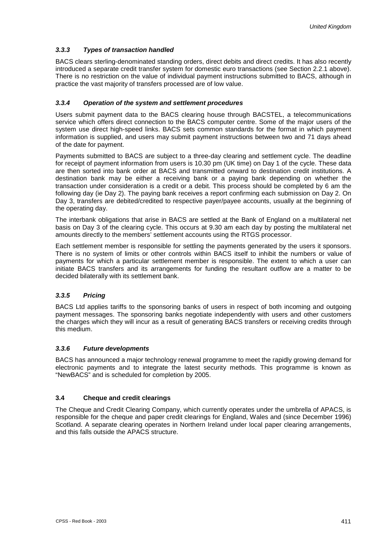# *3.3.3 Types of transaction handled*

BACS clears sterling-denominated standing orders, direct debits and direct credits. It has also recently introduced a separate credit transfer system for domestic euro transactions (see Section 2.2.1 above). There is no restriction on the value of individual payment instructions submitted to BACS, although in practice the vast majority of transfers processed are of low value.

# *3.3.4 Operation of the system and settlement procedures*

Users submit payment data to the BACS clearing house through BACSTEL, a telecommunications service which offers direct connection to the BACS computer centre. Some of the major users of the system use direct high-speed links. BACS sets common standards for the format in which payment information is supplied, and users may submit payment instructions between two and 71 days ahead of the date for payment.

Payments submitted to BACS are subject to a three-day clearing and settlement cycle. The deadline for receipt of payment information from users is 10.30 pm (UK time) on Day 1 of the cycle. These data are then sorted into bank order at BACS and transmitted onward to destination credit institutions. A destination bank may be either a receiving bank or a paying bank depending on whether the transaction under consideration is a credit or a debit. This process should be completed by 6 am the following day (ie Day 2). The paying bank receives a report confirming each submission on Day 2. On Day 3, transfers are debited/credited to respective payer/payee accounts, usually at the beginning of the operating day.

The interbank obligations that arise in BACS are settled at the Bank of England on a multilateral net basis on Day 3 of the clearing cycle. This occurs at 9.30 am each day by posting the multilateral net amounts directly to the members' settlement accounts using the RTGS processor.

Each settlement member is responsible for settling the payments generated by the users it sponsors. There is no system of limits or other controls within BACS itself to inhibit the numbers or value of payments for which a particular settlement member is responsible. The extent to which a user can initiate BACS transfers and its arrangements for funding the resultant outflow are a matter to be decided bilaterally with its settlement bank.

# *3.3.5 Pricing*

BACS Ltd applies tariffs to the sponsoring banks of users in respect of both incoming and outgoing payment messages. The sponsoring banks negotiate independently with users and other customers the charges which they will incur as a result of generating BACS transfers or receiving credits through this medium.

# *3.3.6 Future developments*

BACS has announced a major technology renewal programme to meet the rapidly growing demand for electronic payments and to integrate the latest security methods. This programme is known as "NewBACS" and is scheduled for completion by 2005.

# **3.4 Cheque and credit clearings**

The Cheque and Credit Clearing Company, which currently operates under the umbrella of APACS, is responsible for the cheque and paper credit clearings for England, Wales and (since December 1996) Scotland. A separate clearing operates in Northern Ireland under local paper clearing arrangements, and this falls outside the APACS structure.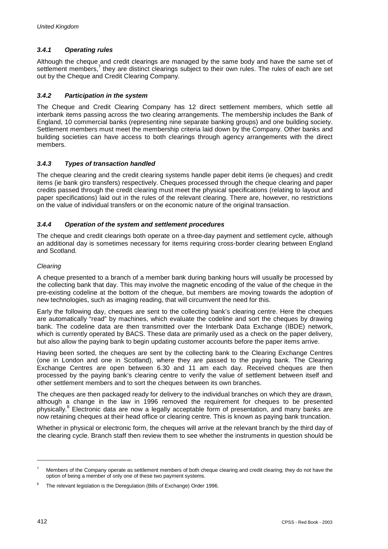# *3.4.1 Operating rules*

Although the cheque and credit clearings are managed by the same body and have the same set of settlement members,<sup>7</sup> they are distinct clearings subject to their own rules. The rules of each are set out by the Cheque and Credit Clearing Company.

# *3.4.2 Participation in the system*

The Cheque and Credit Clearing Company has 12 direct settlement members, which settle all interbank items passing across the two clearing arrangements. The membership includes the Bank of England, 10 commercial banks (representing nine separate banking groups) and one building society. Settlement members must meet the membership criteria laid down by the Company. Other banks and building societies can have access to both clearings through agency arrangements with the direct members.

# *3.4.3 Types of transaction handled*

The cheque clearing and the credit clearing systems handle paper debit items (ie cheques) and credit items (ie bank giro transfers) respectively. Cheques processed through the cheque clearing and paper credits passed through the credit clearing must meet the physical specifications (relating to layout and paper specifications) laid out in the rules of the relevant clearing. There are, however, no restrictions on the value of individual transfers or on the economic nature of the original transaction.

# *3.4.4 Operation of the system and settlement procedures*

The cheque and credit clearings both operate on a three-day payment and settlement cycle, although an additional day is sometimes necessary for items requiring cross-border clearing between England and Scotland.

# *Clearing*

A cheque presented to a branch of a member bank during banking hours will usually be processed by the collecting bank that day. This may involve the magnetic encoding of the value of the cheque in the pre-existing codeline at the bottom of the cheque, but members are moving towards the adoption of new technologies, such as imaging reading, that will circumvent the need for this.

Early the following day, cheques are sent to the collecting bank's clearing centre. Here the cheques are automatically "read" by machines, which evaluate the codeline and sort the cheques by drawing bank. The codeline data are then transmitted over the Interbank Data Exchange (IBDE) network, which is currently operated by BACS. These data are primarily used as a check on the paper delivery, but also allow the paying bank to begin updating customer accounts before the paper items arrive.

Having been sorted, the cheques are sent by the collecting bank to the Clearing Exchange Centres (one in London and one in Scotland), where they are passed to the paying bank. The Clearing Exchange Centres are open between 6.30 and 11 am each day. Received cheques are then processed by the paying bank's clearing centre to verify the value of settlement between itself and other settlement members and to sort the cheques between its own branches.

The cheques are then packaged ready for delivery to the individual branches on which they are drawn, although a change in the law in 1996 removed the requirement for cheques to be presented physically.<sup>8</sup> Electronic data are now a legally acceptable form of presentation, and many banks are now retaining cheques at their head office or clearing centre. This is known as paying bank truncation.

Whether in physical or electronic form, the cheques will arrive at the relevant branch by the third day of the clearing cycle. Branch staff then review them to see whether the instruments in question should be

l

<sup>7</sup> Members of the Company operate as settlement members of both cheque clearing and credit clearing; they do not have the option of being a member of only one of these two payment systems.

The relevant legislation is the Deregulation (Bills of Exchange) Order 1996.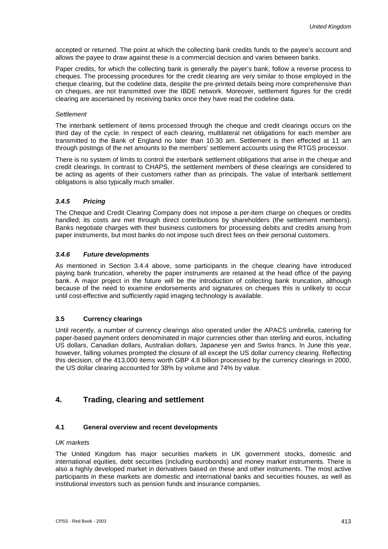accepted or returned. The point at which the collecting bank credits funds to the payee's account and allows the payee to draw against these is a commercial decision and varies between banks.

Paper credits, for which the collecting bank is generally the payer's bank, follow a reverse process to cheques. The processing procedures for the credit clearing are very similar to those employed in the cheque clearing, but the codeline data, despite the pre-printed details being more comprehensive than on cheques, are not transmitted over the IBDE network. Moreover, settlement figures for the credit clearing are ascertained by receiving banks once they have read the codeline data.

#### *Settlement*

The interbank settlement of items processed through the cheque and credit clearings occurs on the third day of the cycle. In respect of each clearing, multilateral net obligations for each member are transmitted to the Bank of England no later than 10.30 am. Settlement is then effected at 11 am through postings of the net amounts to the members' settlement accounts using the RTGS processor.

There is no system of limits to control the interbank settlement obligations that arise in the cheque and credit clearings. In contrast to CHAPS, the settlement members of these clearings are considered to be acting as agents of their customers rather than as principals. The value of interbank settlement obligations is also typically much smaller.

## *3.4.5 Pricing*

The Cheque and Credit Clearing Company does not impose a per-item charge on cheques or credits handled; its costs are met through direct contributions by shareholders (the settlement members). Banks negotiate charges with their business customers for processing debits and credits arising from paper instruments, but most banks do not impose such direct fees on their personal customers.

#### *3.4.6 Future developments*

As mentioned in Section 3.4.4 above, some participants in the cheque clearing have introduced paying bank truncation, whereby the paper instruments are retained at the head office of the paying bank. A major project in the future will be the introduction of collecting bank truncation, although because of the need to examine endorsements and signatures on cheques this is unlikely to occur until cost-effective and sufficiently rapid imaging technology is available.

# **3.5 Currency clearings**

Until recently, a number of currency clearings also operated under the APACS umbrella, catering for paper-based payment orders denominated in major currencies other than sterling and euros, including US dollars, Canadian dollars, Australian dollars, Japanese yen and Swiss francs. In June this year, however, falling volumes prompted the closure of all except the US dollar currency clearing. Reflecting this decision, of the 413,000 items worth GBP 4.8 billion processed by the currency clearings in 2000, the US dollar clearing accounted for 38% by volume and 74% by value.

# **4. Trading, clearing and settlement**

### **4.1 General overview and recent developments**

#### *UK markets*

The United Kingdom has major securities markets in UK government stocks, domestic and international equities, debt securities (including eurobonds) and money market instruments. There is also a highly developed market in derivatives based on these and other instruments. The most active participants in these markets are domestic and international banks and securities houses, as well as institutional investors such as pension funds and insurance companies.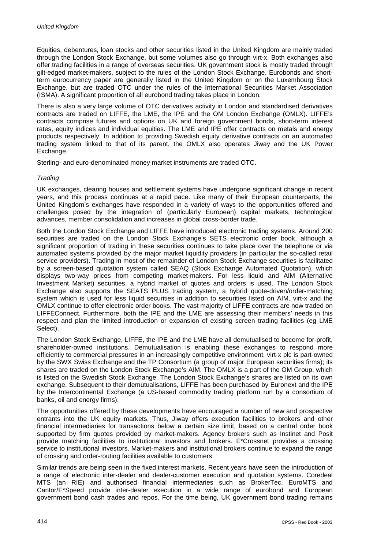Equities, debentures, loan stocks and other securities listed in the United Kingdom are mainly traded through the London Stock Exchange, but some volumes also go through virt-x. Both exchanges also offer trading facilities in a range of overseas securities. UK government stock is mostly traded through gilt-edged market-makers, subject to the rules of the London Stock Exchange. Eurobonds and shortterm eurocurrency paper are generally listed in the United Kingdom or on the Luxembourg Stock Exchange, but are traded OTC under the rules of the International Securities Market Association (ISMA). A significant proportion of all eurobond trading takes place in London.

There is also a very large volume of OTC derivatives activity in London and standardised derivatives contracts are traded on LIFFE, the LME, the IPE and the OM London Exchange (OMLX). LIFFE's contracts comprise futures and options on UK and foreign government bonds, short-term interest rates, equity indices and individual equities. The LME and IPE offer contracts on metals and energy products respectively. In addition to providing Swedish equity derivative contracts on an automated trading system linked to that of its parent, the OMLX also operates Jiway and the UK Power Exchange.

Sterling- and euro-denominated money market instruments are traded OTC.

# *Trading*

UK exchanges, clearing houses and settlement systems have undergone significant change in recent years, and this process continues at a rapid pace. Like many of their European counterparts, the United Kingdom's exchanges have responded in a variety of ways to the opportunities offered and challenges posed by the integration of (particularly European) capital markets, technological advances, member consolidation and increases in global cross-border trade.

Both the London Stock Exchange and LIFFE have introduced electronic trading systems. Around 200 securities are traded on the London Stock Exchange's SETS electronic order book, although a significant proportion of trading in these securities continues to take place over the telephone or via automated systems provided by the major market liquidity providers (in particular the so-called retail service providers). Trading in most of the remainder of London Stock Exchange securities is facilitated by a screen-based quotation system called SEAQ (Stock Exchange Automated Quotation), which displays two-way prices from competing market-makers. For less liquid and AIM (Alternative Investment Market) securities, a hybrid market of quotes and orders is used. The London Stock Exchange also supports the SEATS PLUS trading system, a hybrid quote-driven/order-matching system which is used for less liquid securities in addition to securities listed on AIM. virt-x and the OMLX continue to offer electronic order books. The vast majority of LIFFE contracts are now traded on LIFFEConnect. Furthermore, both the IPE and the LME are assessing their members' needs in this respect and plan the limited introduction or expansion of existing screen trading facilities (eg LME Select).

The London Stock Exchange, LIFFE, the IPE and the LME have all demutualised to become for-profit, shareholder-owned institutions. Demutualisation is enabling these exchanges to respond more efficiently to commercial pressures in an increasingly competitive environment. virt-x plc is part-owned by the SWX Swiss Exchange and the TP Consortium (a group of major European securities firms); its shares are traded on the London Stock Exchange's AIM. The OMLX is a part of the OM Group, which is listed on the Swedish Stock Exchange. The London Stock Exchange's shares are listed on its own exchange. Subsequent to their demutualisations, LIFFE has been purchased by Euronext and the IPE by the Intercontinental Exchange (a US-based commodity trading platform run by a consortium of banks, oil and energy firms).

The opportunities offered by these developments have encouraged a number of new and prospective entrants into the UK equity markets. Thus, Jiway offers execution facilities to brokers and other financial intermediaries for transactions below a certain size limit, based on a central order book supported by firm quotes provided by market-makers. Agency brokers such as Instinet and Posit provide matching facilities to institutional investors and brokers. E\*Crossnet provides a crossing service to institutional investors. Market-makers and institutional brokers continue to expand the range of crossing and order-routing facilities available to customers.

Similar trends are being seen in the fixed interest markets. Recent years have seen the introduction of a range of electronic inter-dealer and dealer-customer execution and quotation systems. Coredeal MTS (an RIE) and authorised financial intermediaries such as BrokerTec, EuroMTS and Cantor/E\*Speed provide inter-dealer execution in a wide range of eurobond and European government bond cash trades and repos. For the time being, UK government bond trading remains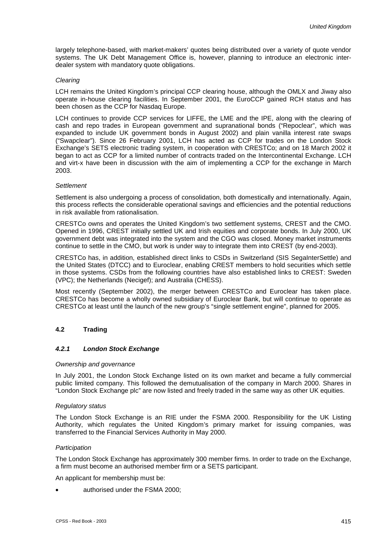largely telephone-based, with market-makers' quotes being distributed over a variety of quote vendor systems. The UK Debt Management Office is, however, planning to introduce an electronic interdealer system with mandatory quote obligations.

## *Clearing*

LCH remains the United Kingdom's principal CCP clearing house, although the OMLX and Jiway also operate in-house clearing facilities. In September 2001, the EuroCCP gained RCH status and has been chosen as the CCP for Nasdaq Europe.

LCH continues to provide CCP services for LIFFE, the LME and the IPE, along with the clearing of cash and repo trades in European government and supranational bonds ("Repoclear", which was expanded to include UK government bonds in August 2002) and plain vanilla interest rate swaps ("Swapclear"). Since 26 February 2001, LCH has acted as CCP for trades on the London Stock Exchange's SETS electronic trading system, in cooperation with CRESTCo; and on 18 March 2002 it began to act as CCP for a limited number of contracts traded on the Intercontinental Exchange. LCH and virt-x have been in discussion with the aim of implementing a CCP for the exchange in March 2003.

#### *Settlement*

Settlement is also undergoing a process of consolidation, both domestically and internationally. Again, this process reflects the considerable operational savings and efficiencies and the potential reductions in risk available from rationalisation.

CRESTCo owns and operates the United Kingdom's two settlement systems, CREST and the CMO. Opened in 1996, CREST initially settled UK and Irish equities and corporate bonds. In July 2000, UK government debt was integrated into the system and the CGO was closed. Money market instruments continue to settle in the CMO, but work is under way to integrate them into CREST (by end-2003).

CRESTCo has, in addition, established direct links to CSDs in Switzerland (SIS SegaInterSettle) and the United States (DTCC) and to Euroclear, enabling CREST members to hold securities which settle in those systems. CSDs from the following countries have also established links to CREST: Sweden (VPC); the Netherlands (Necigef); and Australia (CHESS).

Most recently (September 2002), the merger between CRESTCo and Euroclear has taken place. CRESTCo has become a wholly owned subsidiary of Euroclear Bank, but will continue to operate as CRESTCo at least until the launch of the new group's "single settlement engine", planned for 2005.

# **4.2 Trading**

# *4.2.1 London Stock Exchange*

#### *Ownership and governance*

In July 2001, the London Stock Exchange listed on its own market and became a fully commercial public limited company. This followed the demutualisation of the company in March 2000. Shares in "London Stock Exchange plc" are now listed and freely traded in the same way as other UK equities.

#### *Regulatory status*

The London Stock Exchange is an RIE under the FSMA 2000. Responsibility for the UK Listing Authority, which regulates the United Kingdom's primary market for issuing companies, was transferred to the Financial Services Authority in May 2000.

#### *Participation*

The London Stock Exchange has approximately 300 member firms. In order to trade on the Exchange, a firm must become an authorised member firm or a SETS participant.

An applicant for membership must be:

authorised under the FSMA 2000;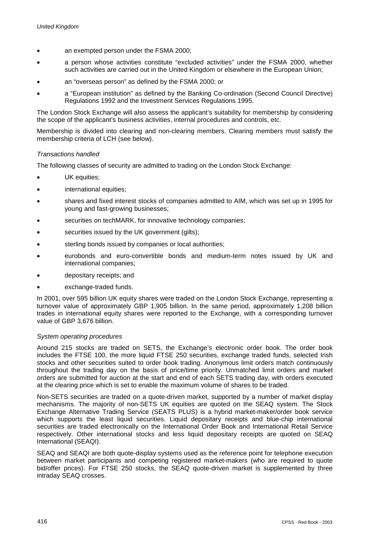- an exempted person under the FSMA 2000;
- a person whose activities constitute "excluded activities" under the FSMA 2000, whether such activities are carried out in the United Kingdom or elsewhere in the European Union;
- an "overseas person" as defined by the FSMA 2000; or
- a "European institution" as defined by the Banking Co-ordination (Second Council Directive) Regulations 1992 and the Investment Services Regulations 1995.

The London Stock Exchange will also assess the applicant's suitability for membership by considering the scope of the applicant's business activities, internal procedures and controls, etc.

Membership is divided into clearing and non-clearing members. Clearing members must satisfy the membership criteria of LCH (see below).

### *Transactions handled*

The following classes of security are admitted to trading on the London Stock Exchange:

- -UK equities:
- international equities;
- shares and fixed interest stocks of companies admitted to AIM, which was set up in 1995 for young and fast-growing businesses;
- securities on techMARK, for innovative technology companies;
- securities issued by the UK government (gilts);
- sterling bonds issued by companies or local authorities;
- eurobonds and euro-convertible bonds and medium-term notes issued by UK and international companies;
- depositary receipts; and
- exchange-traded funds.

In 2001, over 595 billion UK equity shares were traded on the London Stock Exchange, representing a turnover value of approximately GBP 1,905 billion. In the same period, approximately 1,208 billion trades in international equity shares were reported to the Exchange, with a corresponding turnover value of GBP 3,676 billion.

#### *System operating procedures*

Around 215 stocks are traded on SETS, the Exchange's electronic order book. The order book includes the FTSE 100, the more liquid FTSE 250 securities, exchange traded funds, selected Irish stocks and other securities suited to order book trading. Anonymous limit orders match continuously throughout the trading day on the basis of price/time priority. Unmatched limit orders and market orders are submitted for auction at the start and end of each SETS trading day, with orders executed at the clearing price which is set to enable the maximum volume of shares to be traded.

Non-SETS securities are traded on a quote-driven market, supported by a number of market display mechanisms. The majority of non-SETS UK equities are quoted on the SEAQ system. The Stock Exchange Alternative Trading Service (SEATS PLUS) is a hybrid market-maker/order book service which supports the least liquid securities. Liquid depositary receipts and blue-chip international securities are traded electronically on the International Order Book and International Retail Service respectively. Other international stocks and less liquid depositary receipts are quoted on SEAQ International (SEAQI).

SEAQ and SEAQI are both quote-display systems used as the reference point for telephone execution between market participants and competing registered market-makers (who are required to quote bid/offer prices). For FTSE 250 stocks, the SEAQ quote-driven market is supplemented by three intraday SEAQ crosses.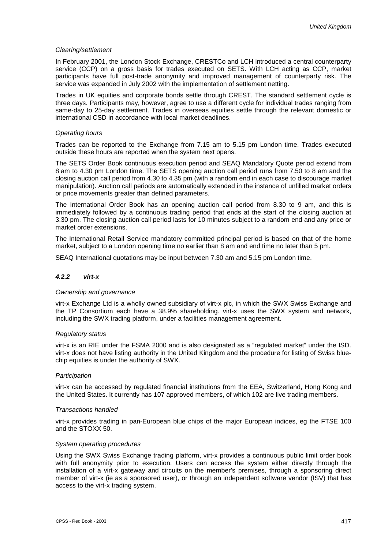#### *Clearing/settlement*

In February 2001, the London Stock Exchange, CRESTCo and LCH introduced a central counterparty service (CCP) on a gross basis for trades executed on SETS. With LCH acting as CCP, market participants have full post-trade anonymity and improved management of counterparty risk. The service was expanded in July 2002 with the implementation of settlement netting.

Trades in UK equities and corporate bonds settle through CREST. The standard settlement cycle is three days. Participants may, however, agree to use a different cycle for individual trades ranging from same-day to 25-day settlement. Trades in overseas equities settle through the relevant domestic or international CSD in accordance with local market deadlines.

#### *Operating hours*

Trades can be reported to the Exchange from 7.15 am to 5.15 pm London time. Trades executed outside these hours are reported when the system next opens.

The SETS Order Book continuous execution period and SEAQ Mandatory Quote period extend from 8 am to 4.30 pm London time. The SETS opening auction call period runs from 7.50 to 8 am and the closing auction call period from 4.30 to 4.35 pm (with a random end in each case to discourage market manipulation). Auction call periods are automatically extended in the instance of unfilled market orders or price movements greater than defined parameters.

The International Order Book has an opening auction call period from 8.30 to 9 am, and this is immediately followed by a continuous trading period that ends at the start of the closing auction at 3.30 pm. The closing auction call period lasts for 10 minutes subject to a random end and any price or market order extensions.

The International Retail Service mandatory committed principal period is based on that of the home market, subject to a London opening time no earlier than 8 am and end time no later than 5 pm.

SEAQ International quotations may be input between 7.30 am and 5.15 pm London time.

#### *4.2.2 virt-x*

#### *Ownership and governance*

virt-x Exchange Ltd is a wholly owned subsidiary of virt-x plc, in which the SWX Swiss Exchange and the TP Consortium each have a 38.9% shareholding. virt-x uses the SWX system and network, including the SWX trading platform, under a facilities management agreement.

#### *Regulatory status*

virt-x is an RIE under the FSMA 2000 and is also designated as a "regulated market" under the ISD. virt-x does not have listing authority in the United Kingdom and the procedure for listing of Swiss bluechip equities is under the authority of SWX.

#### *Participation*

virt-x can be accessed by regulated financial institutions from the EEA, Switzerland, Hong Kong and the United States. It currently has 107 approved members, of which 102 are live trading members.

#### *Transactions handled*

virt-x provides trading in pan-European blue chips of the major European indices, eg the FTSE 100 and the STOXX 50.

#### *System operating procedures*

Using the SWX Swiss Exchange trading platform, virt-x provides a continuous public limit order book with full anonymity prior to execution. Users can access the system either directly through the installation of a virt-x gateway and circuits on the member's premises, through a sponsoring direct member of virt-x (ie as a sponsored user), or through an independent software vendor (ISV) that has access to the virt-x trading system.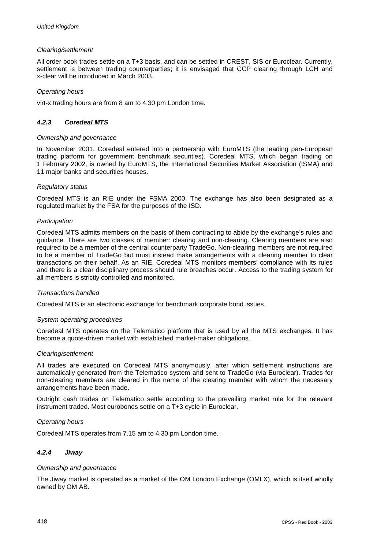## *Clearing/settlement*

All order book trades settle on a T+3 basis, and can be settled in CREST, SIS or Euroclear. Currently, settlement is between trading counterparties; it is envisaged that CCP clearing through LCH and x-clear will be introduced in March 2003.

### *Operating hours*

virt-x trading hours are from 8 am to 4.30 pm London time.

## *4.2.3 Coredeal MTS*

#### *Ownership and governance*

In November 2001, Coredeal entered into a partnership with EuroMTS (the leading pan-European trading platform for government benchmark securities). Coredeal MTS, which began trading on 1 February 2002, is owned by EuroMTS, the International Securities Market Association (ISMA) and 11 major banks and securities houses.

#### *Regulatory status*

Coredeal MTS is an RIE under the FSMA 2000. The exchange has also been designated as a regulated market by the FSA for the purposes of the ISD.

#### *Participation*

Coredeal MTS admits members on the basis of them contracting to abide by the exchange's rules and guidance. There are two classes of member: clearing and non-clearing. Clearing members are also required to be a member of the central counterparty TradeGo. Non-clearing members are not required to be a member of TradeGo but must instead make arrangements with a clearing member to clear transactions on their behalf. As an RIE, Coredeal MTS monitors members' compliance with its rules and there is a clear disciplinary process should rule breaches occur. Access to the trading system for all members is strictly controlled and monitored.

#### *Transactions handled*

Coredeal MTS is an electronic exchange for benchmark corporate bond issues.

#### *System operating procedures*

Coredeal MTS operates on the Telematico platform that is used by all the MTS exchanges. It has become a quote-driven market with established market-maker obligations.

#### *Clearing/settlement*

All trades are executed on Coredeal MTS anonymously, after which settlement instructions are automatically generated from the Telematico system and sent to TradeGo (via Euroclear). Trades for non-clearing members are cleared in the name of the clearing member with whom the necessary arrangements have been made.

Outright cash trades on Telematico settle according to the prevailing market rule for the relevant instrument traded. Most eurobonds settle on a T+3 cycle in Euroclear.

#### *Operating hours*

Coredeal MTS operates from 7.15 am to 4.30 pm London time.

# *4.2.4 Jiway*

#### *Ownership and governance*

The Jiway market is operated as a market of the OM London Exchange (OMLX), which is itself wholly owned by OM AB.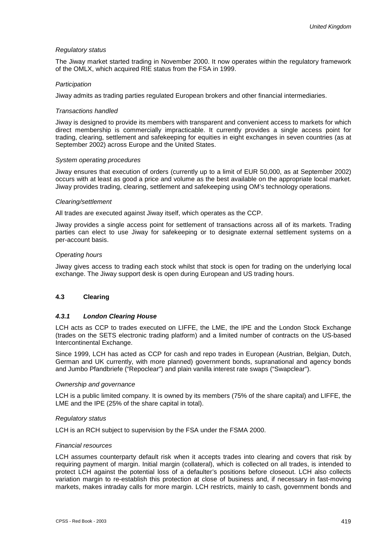#### *Regulatory status*

The Jiway market started trading in November 2000. It now operates within the regulatory framework of the OMLX, which acquired RIE status from the FSA in 1999.

#### *Participation*

Jiway admits as trading parties regulated European brokers and other financial intermediaries.

#### *Transactions handled*

Jiway is designed to provide its members with transparent and convenient access to markets for which direct membership is commercially impracticable. It currently provides a single access point for trading, clearing, settlement and safekeeping for equities in eight exchanges in seven countries (as at September 2002) across Europe and the United States.

#### *System operating procedures*

Jiway ensures that execution of orders (currently up to a limit of EUR 50,000, as at September 2002) occurs with at least as good a price and volume as the best available on the appropriate local market. Jiway provides trading, clearing, settlement and safekeeping using OM's technology operations.

#### *Clearing/settlement*

All trades are executed against Jiway itself, which operates as the CCP.

Jiway provides a single access point for settlement of transactions across all of its markets. Trading parties can elect to use Jiway for safekeeping or to designate external settlement systems on a per-account basis.

#### *Operating hours*

Jiway gives access to trading each stock whilst that stock is open for trading on the underlying local exchange. The Jiway support desk is open during European and US trading hours.

# **4.3 Clearing**

#### *4.3.1 London Clearing House*

LCH acts as CCP to trades executed on LIFFE, the LME, the IPE and the London Stock Exchange (trades on the SETS electronic trading platform) and a limited number of contracts on the US-based Intercontinental Exchange.

Since 1999, LCH has acted as CCP for cash and repo trades in European (Austrian, Belgian, Dutch, German and UK currently, with more planned) government bonds, supranational and agency bonds and Jumbo Pfandbriefe ("Repoclear") and plain vanilla interest rate swaps ("Swapclear").

#### *Ownership and governance*

LCH is a public limited company. It is owned by its members (75% of the share capital) and LIFFE, the LME and the IPE (25% of the share capital in total).

#### *Regulatory status*

LCH is an RCH subject to supervision by the FSA under the FSMA 2000.

#### *Financial resources*

LCH assumes counterparty default risk when it accepts trades into clearing and covers that risk by requiring payment of margin. Initial margin (collateral), which is collected on all trades, is intended to protect LCH against the potential loss of a defaulter's positions before closeout. LCH also collects variation margin to re-establish this protection at close of business and, if necessary in fast-moving markets, makes intraday calls for more margin. LCH restricts, mainly to cash, government bonds and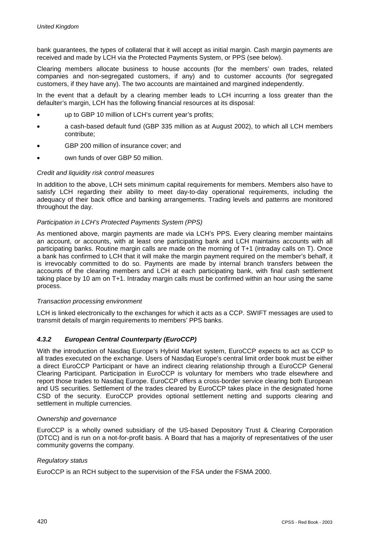bank guarantees, the types of collateral that it will accept as initial margin. Cash margin payments are received and made by LCH via the Protected Payments System, or PPS (see below).

Clearing members allocate business to house accounts (for the members' own trades, related companies and non-segregated customers, if any) and to customer accounts (for segregated customers, if they have any). The two accounts are maintained and margined independently.

In the event that a default by a clearing member leads to LCH incurring a loss greater than the defaulter's margin, LCH has the following financial resources at its disposal:

- up to GBP 10 million of LCH's current year's profits;
- a cash-based default fund (GBP 335 million as at August 2002), to which all LCH members contribute;
- -GBP 200 million of insurance cover; and
- own funds of over GBP 50 million.

## *Credit and liquidity risk control measures*

In addition to the above, LCH sets minimum capital requirements for members. Members also have to satisfy LCH regarding their ability to meet day-to-day operational requirements, including the adequacy of their back office and banking arrangements. Trading levels and patterns are monitored throughout the day.

## *Participation in LCH's Protected Payments System (PPS)*

As mentioned above, margin payments are made via LCH's PPS. Every clearing member maintains an account, or accounts, with at least one participating bank and LCH maintains accounts with all participating banks. Routine margin calls are made on the morning of T+1 (intraday calls on T). Once a bank has confirmed to LCH that it will make the margin payment required on the member's behalf, it is irrevocably committed to do so. Payments are made by internal branch transfers between the accounts of the clearing members and LCH at each participating bank, with final cash settlement taking place by 10 am on T+1. Intraday margin calls must be confirmed within an hour using the same process.

#### *Transaction processing environment*

LCH is linked electronically to the exchanges for which it acts as a CCP. SWIFT messages are used to transmit details of margin requirements to members' PPS banks.

# *4.3.2 European Central Counterparty (EuroCCP)*

With the introduction of Nasdaq Europe's Hybrid Market system, EuroCCP expects to act as CCP to all trades executed on the exchange. Users of Nasdaq Europe's central limit order book must be either a direct EuroCCP Participant or have an indirect clearing relationship through a EuroCCP General Clearing Participant. Participation in EuroCCP is voluntary for members who trade elsewhere and report those trades to Nasdaq Europe. EuroCCP offers a cross-border service clearing both European and US securities. Settlement of the trades cleared by EuroCCP takes place in the designated home CSD of the security. EuroCCP provides optional settlement netting and supports clearing and settlement in multiple currencies.

#### *Ownership and governance*

EuroCCP is a wholly owned subsidiary of the US-based Depository Trust & Clearing Corporation (DTCC) and is run on a not-for-profit basis. A Board that has a majority of representatives of the user community governs the company.

#### *Regulatory status*

EuroCCP is an RCH subject to the supervision of the FSA under the FSMA 2000.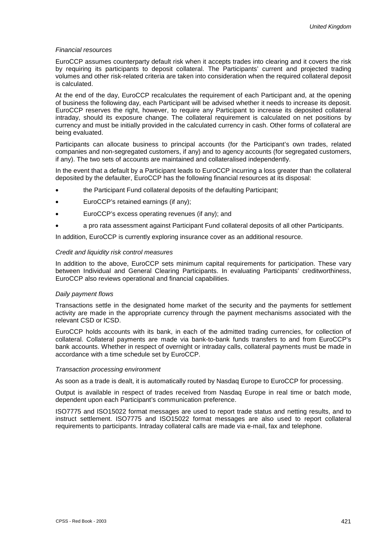#### *Financial resources*

EuroCCP assumes counterparty default risk when it accepts trades into clearing and it covers the risk by requiring its participants to deposit collateral. The Participants' current and projected trading volumes and other risk-related criteria are taken into consideration when the required collateral deposit is calculated.

At the end of the day, EuroCCP recalculates the requirement of each Participant and, at the opening of business the following day, each Participant will be advised whether it needs to increase its deposit. EuroCCP reserves the right, however, to require any Participant to increase its deposited collateral intraday, should its exposure change. The collateral requirement is calculated on net positions by currency and must be initially provided in the calculated currency in cash. Other forms of collateral are being evaluated.

Participants can allocate business to principal accounts (for the Participant's own trades, related companies and non-segregated customers, if any) and to agency accounts (for segregated customers, if any). The two sets of accounts are maintained and collateralised independently.

In the event that a default by a Participant leads to EuroCCP incurring a loss greater than the collateral deposited by the defaulter, EuroCCP has the following financial resources at its disposal:

- the Participant Fund collateral deposits of the defaulting Participant;
- -EuroCCP's retained earnings (if any);
- -EuroCCP's excess operating revenues (if any); and
- a pro rata assessment against Participant Fund collateral deposits of all other Participants.

In addition, EuroCCP is currently exploring insurance cover as an additional resource.

#### *Credit and liquidity risk control measures*

In addition to the above, EuroCCP sets minimum capital requirements for participation. These vary between Individual and General Clearing Participants. In evaluating Participants' creditworthiness, EuroCCP also reviews operational and financial capabilities.

#### *Daily payment flows*

Transactions settle in the designated home market of the security and the payments for settlement activity are made in the appropriate currency through the payment mechanisms associated with the relevant CSD or ICSD.

EuroCCP holds accounts with its bank, in each of the admitted trading currencies, for collection of collateral. Collateral payments are made via bank-to-bank funds transfers to and from EuroCCP's bank accounts. Whether in respect of overnight or intraday calls, collateral payments must be made in accordance with a time schedule set by EuroCCP.

#### *Transaction processing environment*

As soon as a trade is dealt, it is automatically routed by Nasdaq Europe to EuroCCP for processing.

Output is available in respect of trades received from Nasdaq Europe in real time or batch mode, dependent upon each Participant's communication preference.

ISO7775 and ISO15022 format messages are used to report trade status and netting results, and to instruct settlement. ISO7775 and ISO15022 format messages are also used to report collateral requirements to participants. Intraday collateral calls are made via e-mail, fax and telephone.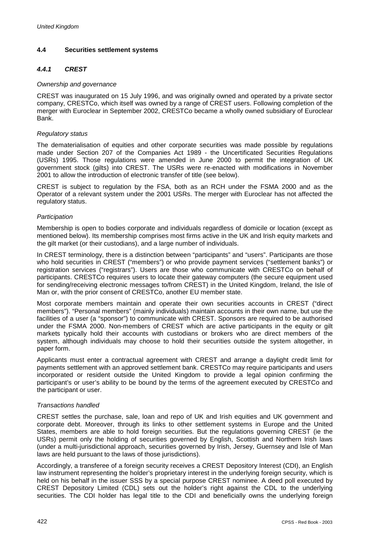# **4.4 Securities settlement systems**

# *4.4.1 CREST*

## *Ownership and governance*

CREST was inaugurated on 15 July 1996, and was originally owned and operated by a private sector company, CRESTCo, which itself was owned by a range of CREST users. Following completion of the merger with Euroclear in September 2002, CRESTCo became a wholly owned subsidiary of Euroclear Bank.

## *Regulatory status*

The dematerialisation of equities and other corporate securities was made possible by regulations made under Section 207 of the Companies Act 1989 - the Uncertificated Securities Regulations (USRs) 1995. Those regulations were amended in June 2000 to permit the integration of UK government stock (gilts) into CREST. The USRs were re-enacted with modifications in November 2001 to allow the introduction of electronic transfer of title (see below).

CREST is subject to regulation by the FSA, both as an RCH under the FSMA 2000 and as the Operator of a relevant system under the 2001 USRs. The merger with Euroclear has not affected the regulatory status.

## *Participation*

Membership is open to bodies corporate and individuals regardless of domicile or location (except as mentioned below). Its membership comprises most firms active in the UK and Irish equity markets and the gilt market (or their custodians), and a large number of individuals.

In CREST terminology, there is a distinction between "participants" and "users". Participants are those who hold securities in CREST ("members") or who provide payment services ("settlement banks") or registration services ("registrars"). Users are those who communicate with CRESTCo on behalf of participants. CRESTCo requires users to locate their gateway computers (the secure equipment used for sending/receiving electronic messages to/from CREST) in the United Kingdom, Ireland, the Isle of Man or, with the prior consent of CRESTCo, another EU member state.

Most corporate members maintain and operate their own securities accounts in CREST ("direct members"). "Personal members" (mainly individuals) maintain accounts in their own name, but use the facilities of a user (a "sponsor") to communicate with CREST. Sponsors are required to be authorised under the FSMA 2000. Non-members of CREST which are active participants in the equity or gilt markets typically hold their accounts with custodians or brokers who are direct members of the system, although individuals may choose to hold their securities outside the system altogether, in paper form.

Applicants must enter a contractual agreement with CREST and arrange a daylight credit limit for payments settlement with an approved settlement bank. CRESTCo may require participants and users incorporated or resident outside the United Kingdom to provide a legal opinion confirming the participant's or user's ability to be bound by the terms of the agreement executed by CRESTCo and the participant or user.

#### *Transactions handled*

CREST settles the purchase, sale, loan and repo of UK and Irish equities and UK government and corporate debt. Moreover, through its links to other settlement systems in Europe and the United States, members are able to hold foreign securities. But the regulations governing CREST (ie the USRs) permit only the holding of securities governed by English, Scottish and Northern Irish laws (under a multi-jurisdictional approach, securities governed by Irish, Jersey, Guernsey and Isle of Man laws are held pursuant to the laws of those jurisdictions).

Accordingly, a transferee of a foreign security receives a CREST Depository Interest (CDI), an English law instrument representing the holder's proprietary interest in the underlying foreign security, which is held on his behalf in the issuer SSS by a special purpose CREST nominee. A deed poll executed by CREST Depository Limited (CDL) sets out the holder's right against the CDL to the underlying securities. The CDI holder has legal title to the CDI and beneficially owns the underlying foreign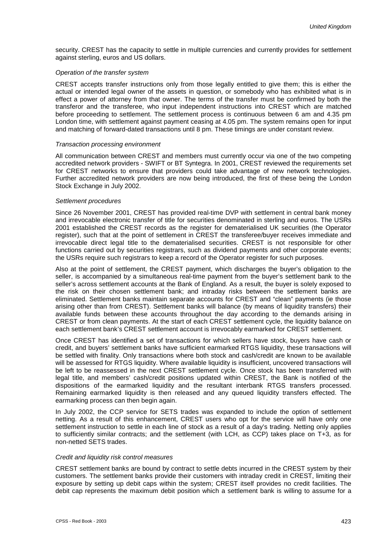security. CREST has the capacity to settle in multiple currencies and currently provides for settlement against sterling, euros and US dollars.

#### *Operation of the transfer system*

CREST accepts transfer instructions only from those legally entitled to give them; this is either the actual or intended legal owner of the assets in question, or somebody who has exhibited what is in effect a power of attorney from that owner. The terms of the transfer must be confirmed by both the transferor and the transferee, who input independent instructions into CREST which are matched before proceeding to settlement. The settlement process is continuous between 6 am and 4.35 pm London time, with settlement against payment ceasing at 4.05 pm. The system remains open for input and matching of forward-dated transactions until 8 pm. These timings are under constant review.

#### *Transaction processing environment*

All communication between CREST and members must currently occur via one of the two competing accredited network providers - SWIFT or BT Syntegra. In 2001, CREST reviewed the requirements set for CREST networks to ensure that providers could take advantage of new network technologies. Further accredited network providers are now being introduced, the first of these being the London Stock Exchange in July 2002.

#### *Settlement procedures*

Since 26 November 2001, CREST has provided real-time DVP with settlement in central bank money and irrevocable electronic transfer of title for securities denominated in sterling and euros. The USRs 2001 established the CREST records as the register for dematerialised UK securities (the Operator register), such that at the point of settlement in CREST the transferee/buyer receives immediate and irrevocable direct legal title to the dematerialised securities. CREST is not responsible for other functions carried out by securities registrars, such as dividend payments and other corporate events; the USRs require such registrars to keep a record of the Operator register for such purposes.

Also at the point of settlement, the CREST payment, which discharges the buyer's obligation to the seller, is accompanied by a simultaneous real-time payment from the buyer's settlement bank to the seller's across settlement accounts at the Bank of England. As a result, the buyer is solely exposed to the risk on their chosen settlement bank; and intraday risks between the settlement banks are eliminated. Settlement banks maintain separate accounts for CREST and "clean" payments (ie those arising other than from CREST). Settlement banks will balance (by means of liquidity transfers) their available funds between these accounts throughout the day according to the demands arising in CREST or from clean payments. At the start of each CREST settlement cycle, the liquidity balance on each settlement bank's CREST settlement account is irrevocably earmarked for CREST settlement.

Once CREST has identified a set of transactions for which sellers have stock, buyers have cash or credit, and buyers' settlement banks have sufficient earmarked RTGS liquidity, these transactions will be settled with finality. Only transactions where both stock and cash/credit are known to be available will be assessed for RTGS liquidity. Where available liquidity is insufficient, uncovered transactions will be left to be reassessed in the next CREST settlement cycle. Once stock has been transferred with legal title, and members' cash/credit positions updated within CREST, the Bank is notified of the dispositions of the earmarked liquidity and the resultant interbank RTGS transfers processed. Remaining earmarked liquidity is then released and any queued liquidity transfers effected. The earmarking process can then begin again.

In July 2002, the CCP service for SETS trades was expanded to include the option of settlement netting. As a result of this enhancement, CREST users who opt for the service will have only one settlement instruction to settle in each line of stock as a result of a day's trading. Netting only applies to sufficiently similar contracts; and the settlement (with LCH, as CCP) takes place on T+3, as for non-netted SETS trades.

#### *Credit and liquidity risk control measures*

CREST settlement banks are bound by contract to settle debts incurred in the CREST system by their customers. The settlement banks provide their customers with intraday credit in CREST, limiting their exposure by setting up debit caps within the system; CREST itself provides no credit facilities. The debit cap represents the maximum debit position which a settlement bank is willing to assume for a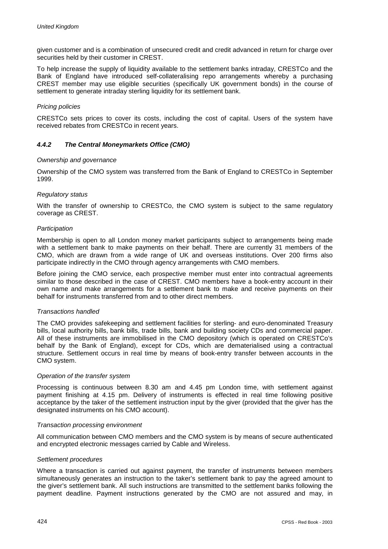given customer and is a combination of unsecured credit and credit advanced in return for charge over securities held by their customer in CREST.

To help increase the supply of liquidity available to the settlement banks intraday, CRESTCo and the Bank of England have introduced self-collateralising repo arrangements whereby a purchasing CREST member may use eligible securities (specifically UK government bonds) in the course of settlement to generate intraday sterling liquidity for its settlement bank.

## *Pricing policies*

CRESTCo sets prices to cover its costs, including the cost of capital. Users of the system have received rebates from CRESTCo in recent years.

# *4.4.2 The Central Moneymarkets Office (CMO)*

#### *Ownership and governance*

Ownership of the CMO system was transferred from the Bank of England to CRESTCo in September 1999.

#### *Regulatory status*

With the transfer of ownership to CRESTCo, the CMO system is subject to the same regulatory coverage as CREST.

#### *Participation*

Membership is open to all London money market participants subject to arrangements being made with a settlement bank to make payments on their behalf. There are currently 31 members of the CMO, which are drawn from a wide range of UK and overseas institutions. Over 200 firms also participate indirectly in the CMO through agency arrangements with CMO members.

Before joining the CMO service, each prospective member must enter into contractual agreements similar to those described in the case of CREST. CMO members have a book-entry account in their own name and make arrangements for a settlement bank to make and receive payments on their behalf for instruments transferred from and to other direct members.

#### *Transactions handled*

The CMO provides safekeeping and settlement facilities for sterling- and euro-denominated Treasury bills, local authority bills, bank bills, trade bills, bank and building society CDs and commercial paper. All of these instruments are immobilised in the CMO depository (which is operated on CRESTCo's behalf by the Bank of England), except for CDs, which are dematerialised using a contractual structure. Settlement occurs in real time by means of book-entry transfer between accounts in the CMO system.

#### *Operation of the transfer system*

Processing is continuous between 8.30 am and 4.45 pm London time, with settlement against payment finishing at 4.15 pm. Delivery of instruments is effected in real time following positive acceptance by the taker of the settlement instruction input by the giver (provided that the giver has the designated instruments on his CMO account).

#### *Transaction processing environment*

All communication between CMO members and the CMO system is by means of secure authenticated and encrypted electronic messages carried by Cable and Wireless.

#### *Settlement procedures*

Where a transaction is carried out against payment, the transfer of instruments between members simultaneously generates an instruction to the taker's settlement bank to pay the agreed amount to the giver's settlement bank. All such instructions are transmitted to the settlement banks following the payment deadline. Payment instructions generated by the CMO are not assured and may, in